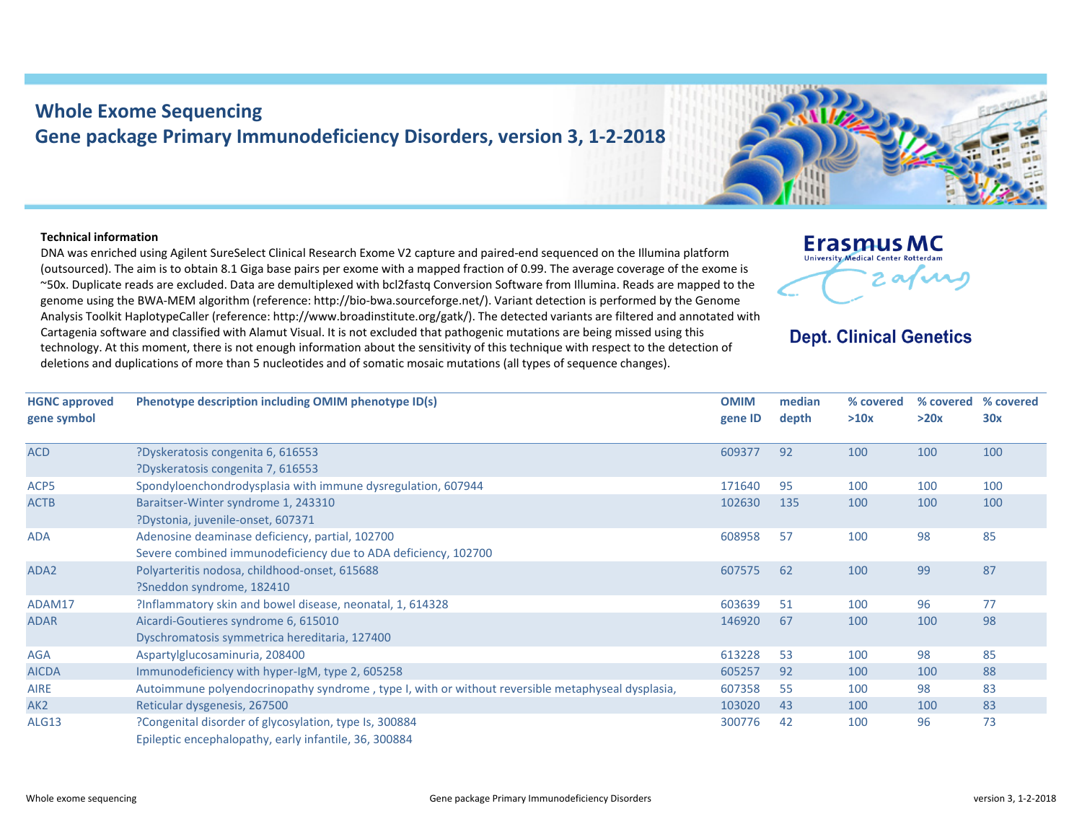## **Whole Exome Sequencing Gene package Primary Immunodeficiency Disorders, version 3, 1‐2‐2018**

## **Technical information**

DNA was enriched using Agilent SureSelect Clinical Research Exome V2 capture and paired‐end sequenced on the Illumina platform (outsourced). The aim is to obtain 8.1 Giga base pairs per exome with <sup>a</sup> mapped fraction of 0.99. The average coverage of the exome is ~50x. Duplicate reads are excluded. Data are demultiplexed with bcl2fastq Conversion Software from Illumina. Reads are mapped to the genome using the BWA‐MEM algorithm (reference: http://bio‐bwa.sourceforge.net/). Variant detection is performed by the Genome Analysis Toolkit HaplotypeCaller (reference: http://www.broadinstitute.org/gatk/). The detected variants are filtered and annotated with Cartagenia software and classified with Alamut Visual. It is not excluded that pathogenic mutations are being missed using this technology. At this moment, there is not enough information about the sensitivity of this technique with respect to the detection of deletions and duplications of more than 5 nucleotides and of somatic mosaic mutations (all types of sequence changes).



## **Dept. Clinical Genetics**

| <b>HGNC approved</b><br>gene symbol | Phenotype description including OMIM phenotype ID(s)                                              | <b>OMIM</b><br>gene ID | median<br>depth | % covered<br>>10x | % covered<br>>20x | % covered<br>30x |
|-------------------------------------|---------------------------------------------------------------------------------------------------|------------------------|-----------------|-------------------|-------------------|------------------|
| <b>ACD</b>                          | ?Dyskeratosis congenita 6, 616553                                                                 | 609377                 | 92              | 100               | 100               | 100              |
|                                     | ?Dyskeratosis congenita 7, 616553                                                                 |                        |                 |                   |                   |                  |
| ACP5                                | Spondyloenchondrodysplasia with immune dysregulation, 607944                                      | 171640                 | 95              | 100               | 100               | 100              |
| <b>ACTB</b>                         | Baraitser-Winter syndrome 1, 243310                                                               | 102630                 | 135             | 100               | 100               | 100              |
|                                     | ?Dystonia, juvenile-onset, 607371                                                                 |                        |                 |                   |                   |                  |
| <b>ADA</b>                          | Adenosine deaminase deficiency, partial, 102700                                                   | 608958                 | 57              | 100               | 98                | 85               |
|                                     | Severe combined immunodeficiency due to ADA deficiency, 102700                                    |                        |                 |                   |                   |                  |
| ADA2                                | Polyarteritis nodosa, childhood-onset, 615688                                                     | 607575                 | 62              | 100               | 99                | 87               |
|                                     | ?Sneddon syndrome, 182410                                                                         |                        |                 |                   |                   |                  |
| ADAM17                              | ?Inflammatory skin and bowel disease, neonatal, 1, 614328                                         | 603639                 | 51              | 100               | 96                | 77               |
| <b>ADAR</b>                         | Aicardi-Goutieres syndrome 6, 615010                                                              | 146920                 | 67              | 100               | 100               | 98               |
|                                     | Dyschromatosis symmetrica hereditaria, 127400                                                     |                        |                 |                   |                   |                  |
| <b>AGA</b>                          | Aspartylglucosaminuria, 208400                                                                    | 613228                 | 53              | 100               | 98                | 85               |
| <b>AICDA</b>                        | Immunodeficiency with hyper-IgM, type 2, 605258                                                   | 605257                 | 92              | 100               | 100               | 88               |
| <b>AIRE</b>                         | Autoimmune polyendocrinopathy syndrome, type I, with or without reversible metaphyseal dysplasia, | 607358                 | -55             | 100               | 98                | 83               |
| AK <sub>2</sub>                     | Reticular dysgenesis, 267500                                                                      | 103020                 | 43              | 100               | 100               | 83               |
| <b>ALG13</b>                        | ?Congenital disorder of glycosylation, type Is, 300884                                            | 300776                 | 42              | 100               | 96                | 73               |
|                                     | Epileptic encephalopathy, early infantile, 36, 300884                                             |                        |                 |                   |                   |                  |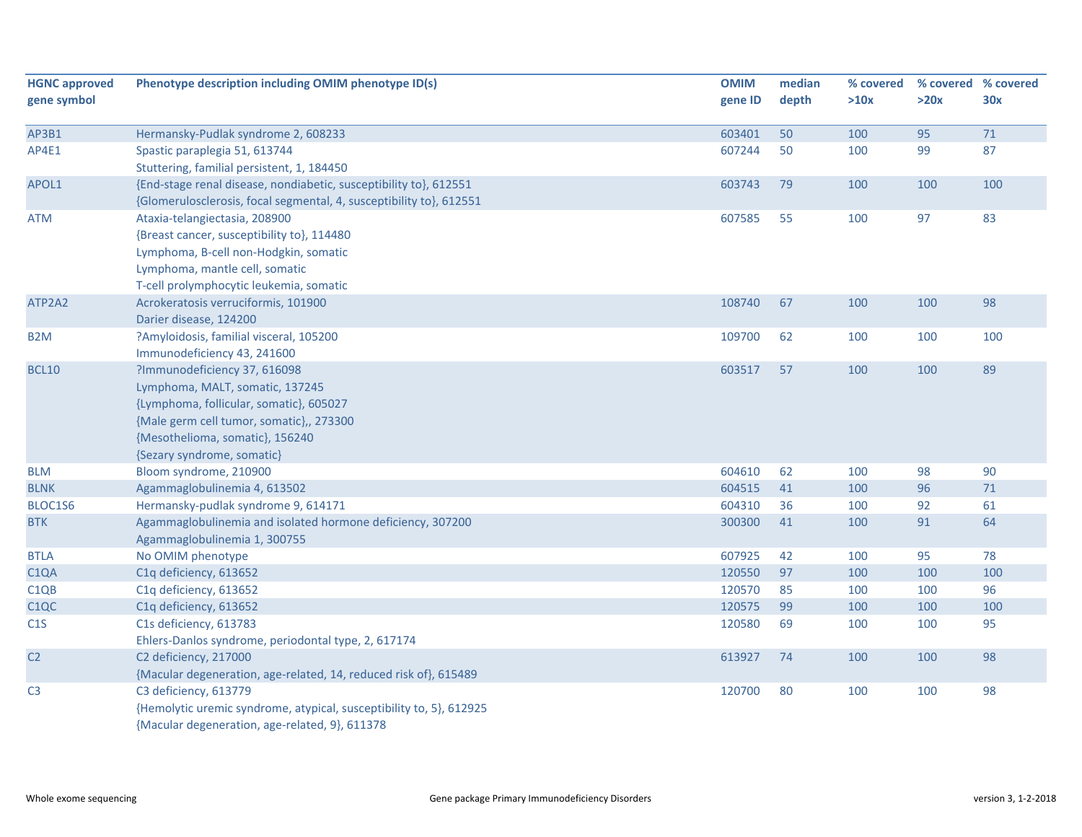| <b>HGNC approved</b> | Phenotype description including OMIM phenotype ID(s)                | <b>OMIM</b> | median | % covered |      | % covered % covered |
|----------------------|---------------------------------------------------------------------|-------------|--------|-----------|------|---------------------|
| gene symbol          |                                                                     | gene ID     | depth  | >10x      | >20x | 30x                 |
|                      |                                                                     |             |        |           |      |                     |
| AP3B1                | Hermansky-Pudlak syndrome 2, 608233                                 | 603401      | 50     | 100       | 95   | 71                  |
| AP4E1                | Spastic paraplegia 51, 613744                                       | 607244      | 50     | 100       | 99   | 87                  |
|                      | Stuttering, familial persistent, 1, 184450                          |             |        |           |      |                     |
| APOL1                | {End-stage renal disease, nondiabetic, susceptibility to}, 612551   | 603743      | 79     | 100       | 100  | 100                 |
|                      | {Glomerulosclerosis, focal segmental, 4, susceptibility to}, 612551 |             |        |           |      |                     |
| <b>ATM</b>           | Ataxia-telangiectasia, 208900                                       | 607585      | 55     | 100       | 97   | 83                  |
|                      | {Breast cancer, susceptibility to}, 114480                          |             |        |           |      |                     |
|                      | Lymphoma, B-cell non-Hodgkin, somatic                               |             |        |           |      |                     |
|                      | Lymphoma, mantle cell, somatic                                      |             |        |           |      |                     |
|                      | T-cell prolymphocytic leukemia, somatic                             |             |        |           |      |                     |
| ATP2A2               | Acrokeratosis verruciformis, 101900                                 | 108740      | 67     | 100       | 100  | 98                  |
|                      | Darier disease, 124200                                              |             |        |           |      |                     |
| B <sub>2</sub> M     | ?Amyloidosis, familial visceral, 105200                             | 109700      | 62     | 100       | 100  | 100                 |
|                      | Immunodeficiency 43, 241600                                         |             |        |           |      |                     |
| <b>BCL10</b>         | ?Immunodeficiency 37, 616098                                        | 603517      | 57     | 100       | 100  | 89                  |
|                      | Lymphoma, MALT, somatic, 137245                                     |             |        |           |      |                     |
|                      | {Lymphoma, follicular, somatic}, 605027                             |             |        |           |      |                     |
|                      | {Male germ cell tumor, somatic},, 273300                            |             |        |           |      |                     |
|                      | {Mesothelioma, somatic}, 156240                                     |             |        |           |      |                     |
|                      | {Sezary syndrome, somatic}                                          |             |        |           |      |                     |
| <b>BLM</b>           | Bloom syndrome, 210900                                              | 604610      | 62     | 100       | 98   | 90                  |
| <b>BLNK</b>          | Agammaglobulinemia 4, 613502                                        | 604515      | 41     | 100       | 96   | 71                  |
| BLOC1S6              | Hermansky-pudlak syndrome 9, 614171                                 | 604310      | 36     | 100       | 92   | 61                  |
| <b>BTK</b>           | Agammaglobulinemia and isolated hormone deficiency, 307200          | 300300      | 41     | 100       | 91   | 64                  |
|                      | Agammaglobulinemia 1, 300755                                        |             |        |           |      |                     |
| <b>BTLA</b>          | No OMIM phenotype                                                   | 607925      | 42     | 100       | 95   | 78                  |
| C <sub>1</sub> QA    | C1q deficiency, 613652                                              | 120550      | 97     | 100       | 100  | 100                 |
| C <sub>1QB</sub>     | C1q deficiency, 613652                                              | 120570      | 85     | 100       | 100  | 96                  |
| C <sub>1</sub> QC    | C1q deficiency, 613652                                              | 120575      | 99     | 100       | 100  | 100                 |
| C1S                  | C1s deficiency, 613783                                              | 120580      | 69     | 100       | 100  | 95                  |
|                      | Ehlers-Danlos syndrome, periodontal type, 2, 617174                 |             |        |           |      |                     |
| C <sub>2</sub>       | C2 deficiency, 217000                                               | 613927      | 74     | 100       | 100  | 98                  |
|                      | {Macular degeneration, age-related, 14, reduced risk of}, 615489    |             |        |           |      |                     |
| C <sub>3</sub>       | C3 deficiency, 613779                                               | 120700      | 80     | 100       | 100  | 98                  |
|                      | {Hemolytic uremic syndrome, atypical, susceptibility to, 5}, 612925 |             |        |           |      |                     |
|                      | {Macular degeneration, age-related, 9}, 611378                      |             |        |           |      |                     |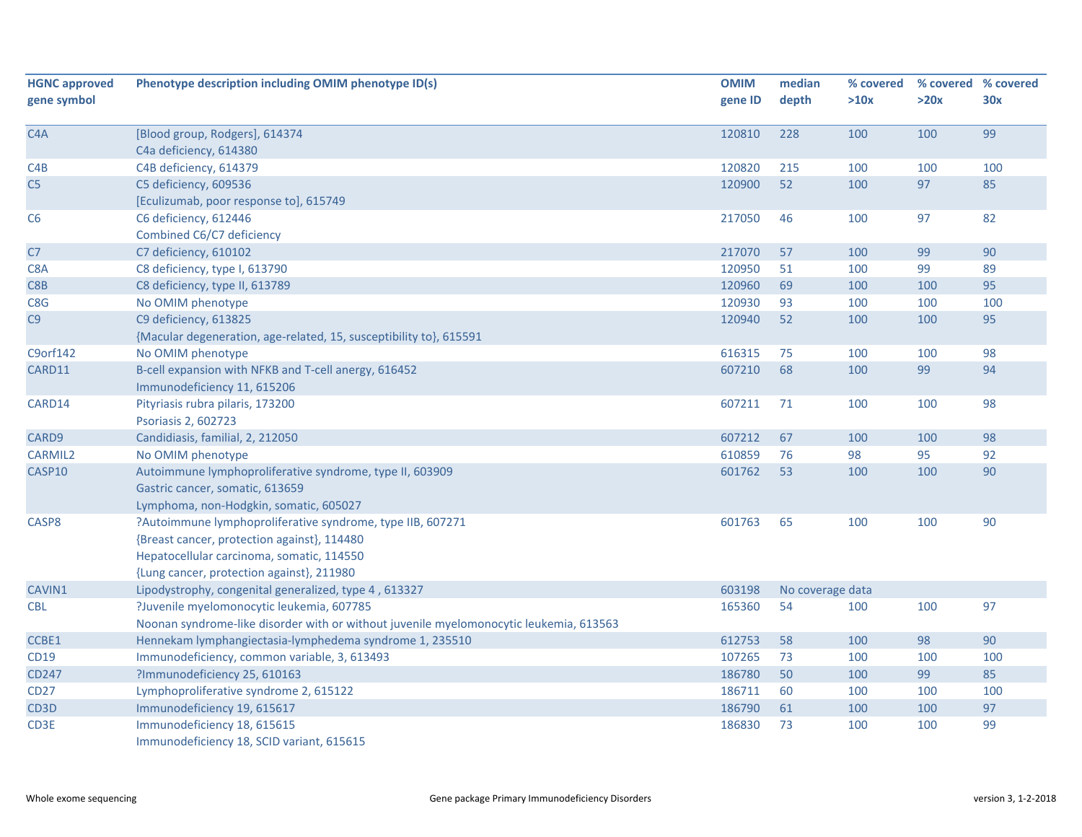| <b>HGNC approved</b> | Phenotype description including OMIM phenotype ID(s)                                   | <b>OMIM</b> | median           | % covered |      | % covered % covered |
|----------------------|----------------------------------------------------------------------------------------|-------------|------------------|-----------|------|---------------------|
| gene symbol          |                                                                                        | gene ID     | depth            | >10x      | >20x | 30x                 |
|                      |                                                                                        |             |                  |           |      |                     |
| C <sub>4</sub> A     | [Blood group, Rodgers], 614374                                                         | 120810      | 228              | 100       | 100  | 99                  |
|                      | C4a deficiency, 614380                                                                 |             |                  |           |      |                     |
| C4B                  | C4B deficiency, 614379                                                                 | 120820      | 215              | 100       | 100  | 100                 |
| C <sub>5</sub>       | C5 deficiency, 609536                                                                  | 120900      | 52               | 100       | 97   | 85                  |
|                      | [Eculizumab, poor response to], 615749                                                 |             |                  |           |      |                     |
| C <sub>6</sub>       | C6 deficiency, 612446                                                                  | 217050      | 46               | 100       | 97   | 82                  |
|                      | Combined C6/C7 deficiency                                                              |             |                  |           |      |                     |
| C7                   | C7 deficiency, 610102                                                                  | 217070      | 57               | 100       | 99   | 90                  |
| C8A                  | C8 deficiency, type I, 613790                                                          | 120950      | 51               | 100       | 99   | 89                  |
| C8 <sub>B</sub>      | C8 deficiency, type II, 613789                                                         | 120960      | 69               | 100       | 100  | 95                  |
| C8G                  | No OMIM phenotype                                                                      | 120930      | 93               | 100       | 100  | 100                 |
| C9                   | C9 deficiency, 613825                                                                  | 120940      | 52               | 100       | 100  | 95                  |
|                      | {Macular degeneration, age-related, 15, susceptibility to}, 615591                     |             |                  |           |      |                     |
| C9orf142             | No OMIM phenotype                                                                      | 616315      | 75               | 100       | 100  | 98                  |
| CARD11               | B-cell expansion with NFKB and T-cell anergy, 616452                                   | 607210      | 68               | 100       | 99   | 94                  |
|                      | Immunodeficiency 11, 615206                                                            |             |                  |           |      |                     |
| CARD14               | Pityriasis rubra pilaris, 173200                                                       | 607211      | 71               | 100       | 100  | 98                  |
|                      | Psoriasis 2, 602723                                                                    |             |                  |           |      |                     |
| CARD9                | Candidiasis, familial, 2, 212050                                                       | 607212      | 67               | 100       | 100  | 98                  |
| <b>CARMIL2</b>       | No OMIM phenotype                                                                      | 610859      | 76               | 98        | 95   | 92                  |
| CASP10               | Autoimmune lymphoproliferative syndrome, type II, 603909                               | 601762      | 53               | 100       | 100  | 90                  |
|                      | Gastric cancer, somatic, 613659                                                        |             |                  |           |      |                     |
|                      | Lymphoma, non-Hodgkin, somatic, 605027                                                 |             |                  |           |      |                     |
| CASP8                | ?Autoimmune lymphoproliferative syndrome, type IIB, 607271                             | 601763      | 65               | 100       | 100  | 90                  |
|                      | {Breast cancer, protection against}, 114480                                            |             |                  |           |      |                     |
|                      | Hepatocellular carcinoma, somatic, 114550                                              |             |                  |           |      |                     |
|                      | {Lung cancer, protection against}, 211980                                              |             |                  |           |      |                     |
| CAVIN1               | Lipodystrophy, congenital generalized, type 4, 613327                                  | 603198      | No coverage data |           |      |                     |
| <b>CBL</b>           | ?Juvenile myelomonocytic leukemia, 607785                                              | 165360      | 54               | 100       | 100  | 97                  |
|                      | Noonan syndrome-like disorder with or without juvenile myelomonocytic leukemia, 613563 |             |                  |           |      |                     |
| CCBE1                | Hennekam lymphangiectasia-lymphedema syndrome 1, 235510                                | 612753      | 58               | 100       | 98   | 90                  |
| <b>CD19</b>          | Immunodeficiency, common variable, 3, 613493                                           | 107265      | 73               | 100       | 100  | 100                 |
| <b>CD247</b>         | ?Immunodeficiency 25, 610163                                                           | 186780      | 50               | 100       | 99   | 85                  |
| <b>CD27</b>          | Lymphoproliferative syndrome 2, 615122                                                 | 186711      | 60               | 100       | 100  | 100                 |
| CD3D                 | Immunodeficiency 19, 615617                                                            | 186790      | 61               | 100       | 100  | 97                  |
| CD3E                 | Immunodeficiency 18, 615615                                                            | 186830      | 73               | 100       | 100  | 99                  |
|                      | Immunodeficiency 18, SCID variant, 615615                                              |             |                  |           |      |                     |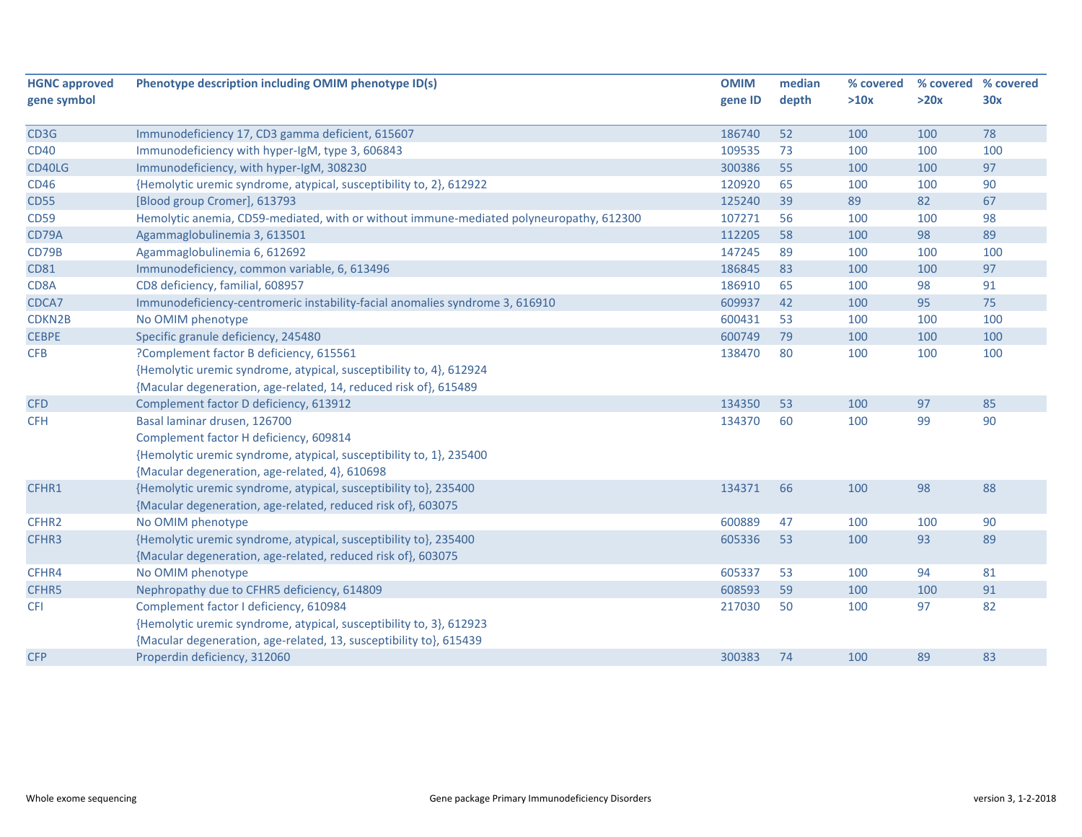| <b>HGNC approved</b> | Phenotype description including OMIM phenotype ID(s)                                    | <b>OMIM</b> | median | % covered |      | % covered % covered |
|----------------------|-----------------------------------------------------------------------------------------|-------------|--------|-----------|------|---------------------|
| gene symbol          |                                                                                         | gene ID     | depth  | >10x      | >20x | 30x                 |
| CD3G                 | Immunodeficiency 17, CD3 gamma deficient, 615607                                        | 186740      | 52     | 100       | 100  | 78                  |
| <b>CD40</b>          | Immunodeficiency with hyper-IgM, type 3, 606843                                         | 109535      | 73     | 100       | 100  | 100                 |
| CD40LG               | Immunodeficiency, with hyper-IgM, 308230                                                | 300386      | 55     | 100       | 100  | 97                  |
| <b>CD46</b>          | {Hemolytic uremic syndrome, atypical, susceptibility to, 2}, 612922                     | 120920      | 65     | 100       | 100  | 90                  |
| <b>CD55</b>          | [Blood group Cromer], 613793                                                            | 125240      | 39     | 89        | 82   | 67                  |
| <b>CD59</b>          | Hemolytic anemia, CD59-mediated, with or without immune-mediated polyneuropathy, 612300 | 107271      | 56     | 100       | 100  | 98                  |
| CD79A                | Agammaglobulinemia 3, 613501                                                            | 112205      | 58     | 100       | 98   | 89                  |
| CD79B                | Agammaglobulinemia 6, 612692                                                            | 147245      | 89     | 100       | 100  | 100                 |
| <b>CD81</b>          | Immunodeficiency, common variable, 6, 613496                                            | 186845      | 83     | 100       | 100  | 97                  |
| CD8A                 | CD8 deficiency, familial, 608957                                                        | 186910      | 65     | 100       | 98   | 91                  |
| CDCA7                | Immunodeficiency-centromeric instability-facial anomalies syndrome 3, 616910            | 609937      | 42     | 100       | 95   | 75                  |
| CDKN2B               | No OMIM phenotype                                                                       | 600431      | 53     | 100       | 100  | 100                 |
| <b>CEBPE</b>         | Specific granule deficiency, 245480                                                     | 600749      | 79     | 100       | 100  | 100                 |
| <b>CFB</b>           | ?Complement factor B deficiency, 615561                                                 | 138470      | 80     | 100       | 100  | 100                 |
|                      | {Hemolytic uremic syndrome, atypical, susceptibility to, 4}, 612924                     |             |        |           |      |                     |
|                      | {Macular degeneration, age-related, 14, reduced risk of}, 615489                        |             |        |           |      |                     |
| <b>CFD</b>           | Complement factor D deficiency, 613912                                                  | 134350      | 53     | 100       | 97   | 85                  |
| <b>CFH</b>           | Basal laminar drusen, 126700                                                            | 134370      | 60     | 100       | 99   | 90                  |
|                      | Complement factor H deficiency, 609814                                                  |             |        |           |      |                     |
|                      | {Hemolytic uremic syndrome, atypical, susceptibility to, 1}, 235400                     |             |        |           |      |                     |
|                      | {Macular degeneration, age-related, 4}, 610698                                          |             |        |           |      |                     |
| CFHR1                | {Hemolytic uremic syndrome, atypical, susceptibility to}, 235400                        | 134371      | 66     | 100       | 98   | 88                  |
|                      | {Macular degeneration, age-related, reduced risk of}, 603075                            |             |        |           |      |                     |
| CFHR2                | No OMIM phenotype                                                                       | 600889      | 47     | 100       | 100  | 90                  |
| CFHR3                | {Hemolytic uremic syndrome, atypical, susceptibility to}, 235400                        | 605336      | 53     | 100       | 93   | 89                  |
|                      | {Macular degeneration, age-related, reduced risk of}, 603075                            |             |        |           |      |                     |
| CFHR4                | No OMIM phenotype                                                                       | 605337      | 53     | 100       | 94   | 81                  |
| CFHR5                | Nephropathy due to CFHR5 deficiency, 614809                                             | 608593      | 59     | 100       | 100  | 91                  |
| <b>CFI</b>           | Complement factor I deficiency, 610984                                                  | 217030      | 50     | 100       | 97   | 82                  |
|                      | {Hemolytic uremic syndrome, atypical, susceptibility to, 3}, 612923                     |             |        |           |      |                     |
|                      | {Macular degeneration, age-related, 13, susceptibility to}, 615439                      |             |        |           |      |                     |
| <b>CFP</b>           | Properdin deficiency, 312060                                                            | 300383      | 74     | 100       | 89   | 83                  |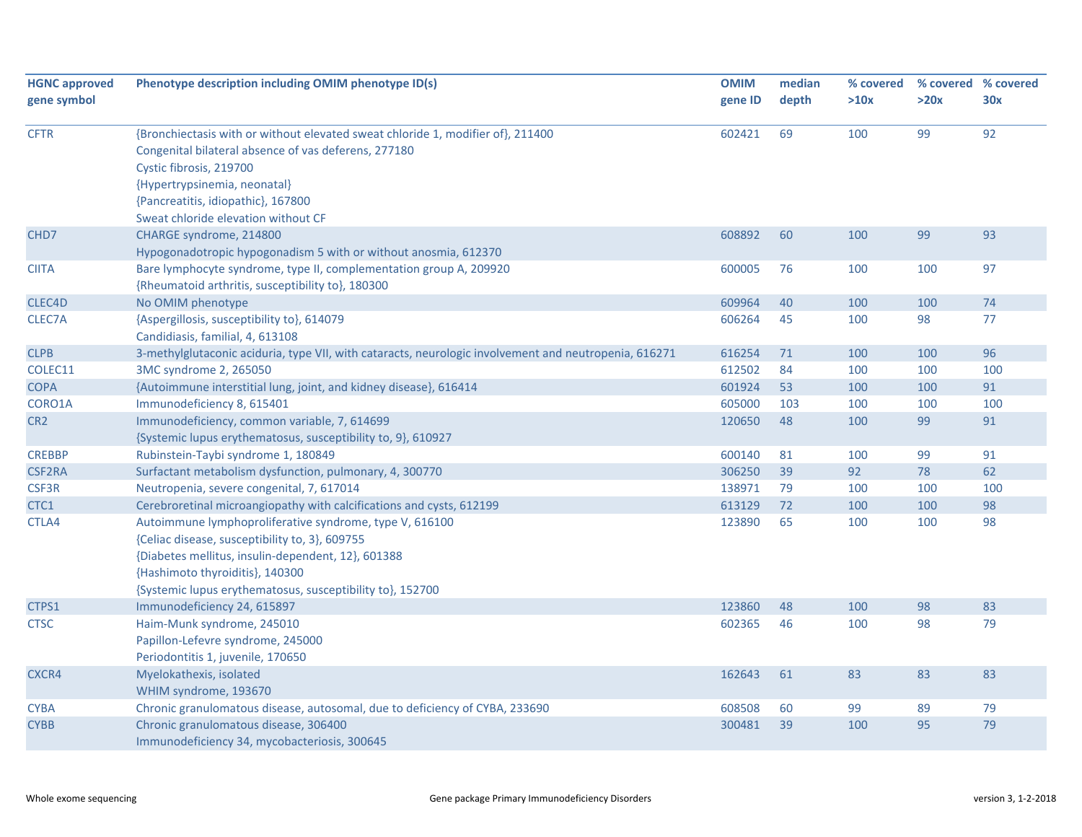| <b>HGNC approved</b> | Phenotype description including OMIM phenotype ID(s)                                                  |         | median | % covered |      | % covered % covered |
|----------------------|-------------------------------------------------------------------------------------------------------|---------|--------|-----------|------|---------------------|
| gene symbol          |                                                                                                       | gene ID | depth  | >10x      | >20x | 30x                 |
|                      |                                                                                                       |         |        |           |      |                     |
| <b>CFTR</b>          | {Bronchiectasis with or without elevated sweat chloride 1, modifier of}, 211400                       | 602421  | 69     | 100       | 99   | 92                  |
|                      | Congenital bilateral absence of vas deferens, 277180                                                  |         |        |           |      |                     |
|                      | Cystic fibrosis, 219700                                                                               |         |        |           |      |                     |
|                      | {Hypertrypsinemia, neonatal}                                                                          |         |        |           |      |                     |
|                      | {Pancreatitis, idiopathic}, 167800                                                                    |         |        |           |      |                     |
|                      | Sweat chloride elevation without CF                                                                   |         |        |           |      |                     |
| CHD <sub>7</sub>     | CHARGE syndrome, 214800                                                                               | 608892  | 60     | 100       | 99   | 93                  |
|                      | Hypogonadotropic hypogonadism 5 with or without anosmia, 612370                                       |         |        |           |      |                     |
| <b>CIITA</b>         | Bare lymphocyte syndrome, type II, complementation group A, 209920                                    | 600005  | 76     | 100       | 100  | 97                  |
|                      | {Rheumatoid arthritis, susceptibility to}, 180300                                                     |         |        |           |      |                     |
| CLEC4D               | No OMIM phenotype                                                                                     | 609964  | 40     | 100       | 100  | 74                  |
| CLEC7A               | {Aspergillosis, susceptibility to}, 614079                                                            | 606264  | 45     | 100       | 98   | 77                  |
|                      | Candidiasis, familial, 4, 613108                                                                      |         |        |           |      |                     |
| <b>CLPB</b>          | 3-methylglutaconic aciduria, type VII, with cataracts, neurologic involvement and neutropenia, 616271 | 616254  | 71     | 100       | 100  | 96                  |
| COLEC11              | 3MC syndrome 2, 265050                                                                                | 612502  | 84     | 100       | 100  | 100                 |
| <b>COPA</b>          | {Autoimmune interstitial lung, joint, and kidney disease}, 616414                                     | 601924  | 53     | 100       | 100  | 91                  |
| CORO1A               | Immunodeficiency 8, 615401                                                                            | 605000  | 103    | 100       | 100  | 100                 |
| CR <sub>2</sub>      | Immunodeficiency, common variable, 7, 614699                                                          | 120650  | 48     | 100       | 99   | 91                  |
|                      | {Systemic lupus erythematosus, susceptibility to, 9}, 610927                                          |         |        |           |      |                     |
| <b>CREBBP</b>        | Rubinstein-Taybi syndrome 1, 180849                                                                   | 600140  | 81     | 100       | 99   | 91                  |
| <b>CSF2RA</b>        | Surfactant metabolism dysfunction, pulmonary, 4, 300770                                               | 306250  | 39     | 92        | 78   | 62                  |
| CSF3R                | Neutropenia, severe congenital, 7, 617014                                                             | 138971  | 79     | 100       | 100  | 100                 |
| CTC1                 | Cerebroretinal microangiopathy with calcifications and cysts, 612199                                  | 613129  | 72     | 100       | 100  | 98                  |
| CTLA4                | Autoimmune lymphoproliferative syndrome, type V, 616100                                               | 123890  | 65     | 100       | 100  | 98                  |
|                      | {Celiac disease, susceptibility to, 3}, 609755                                                        |         |        |           |      |                     |
|                      | {Diabetes mellitus, insulin-dependent, 12}, 601388                                                    |         |        |           |      |                     |
|                      | {Hashimoto thyroiditis}, 140300                                                                       |         |        |           |      |                     |
|                      | {Systemic lupus erythematosus, susceptibility to}, 152700                                             |         |        |           |      |                     |
| CTPS1                | Immunodeficiency 24, 615897                                                                           | 123860  | 48     | 100       | 98   | 83                  |
| <b>CTSC</b>          | Haim-Munk syndrome, 245010                                                                            | 602365  | 46     | 100       | 98   | 79                  |
|                      | Papillon-Lefevre syndrome, 245000                                                                     |         |        |           |      |                     |
|                      | Periodontitis 1, juvenile, 170650                                                                     |         |        |           |      |                     |
| CXCR4                | Myelokathexis, isolated                                                                               | 162643  | 61     | 83        | 83   | 83                  |
|                      | WHIM syndrome, 193670                                                                                 |         |        |           |      |                     |
| <b>CYBA</b>          | Chronic granulomatous disease, autosomal, due to deficiency of CYBA, 233690                           | 608508  | 60     | 99        | 89   | 79                  |
| <b>CYBB</b>          | Chronic granulomatous disease, 306400                                                                 | 300481  | 39     | 100       | 95   | 79                  |
|                      | Immunodeficiency 34, mycobacteriosis, 300645                                                          |         |        |           |      |                     |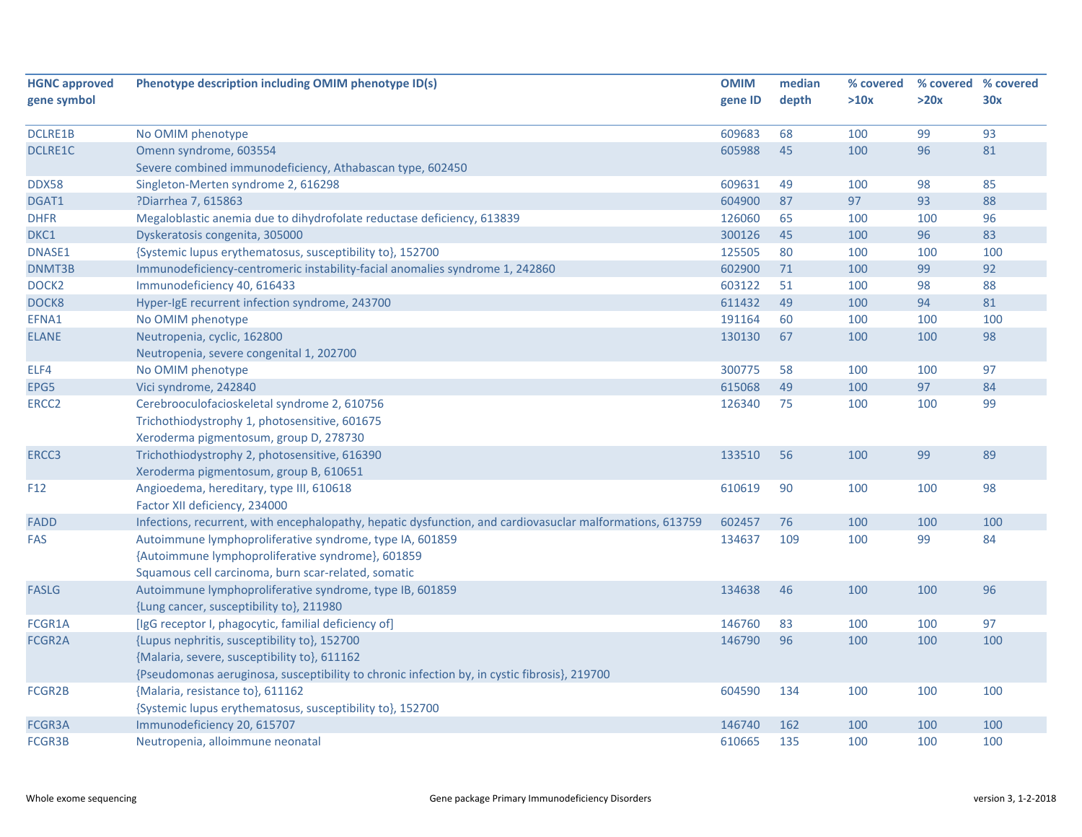| <b>HGNC approved</b> | Phenotype description including OMIM phenotype ID(s)                                                      | <b>OMIM</b> | median | % covered |      | % covered % covered |
|----------------------|-----------------------------------------------------------------------------------------------------------|-------------|--------|-----------|------|---------------------|
| gene symbol          |                                                                                                           | gene ID     | depth  | >10x      | >20x | 30x                 |
|                      |                                                                                                           |             |        |           |      |                     |
| <b>DCLRE1B</b>       | No OMIM phenotype                                                                                         | 609683      | 68     | 100       | 99   | 93                  |
| <b>DCLRE1C</b>       | Omenn syndrome, 603554                                                                                    | 605988      | 45     | 100       | 96   | 81                  |
|                      | Severe combined immunodeficiency, Athabascan type, 602450                                                 |             |        |           |      |                     |
| <b>DDX58</b>         | Singleton-Merten syndrome 2, 616298                                                                       | 609631      | 49     | 100       | 98   | 85                  |
| DGAT1                | ?Diarrhea 7, 615863                                                                                       | 604900      | 87     | 97        | 93   | 88                  |
| <b>DHFR</b>          | Megaloblastic anemia due to dihydrofolate reductase deficiency, 613839                                    | 126060      | 65     | 100       | 100  | 96                  |
| DKC1                 | Dyskeratosis congenita, 305000                                                                            | 300126      | 45     | 100       | 96   | 83                  |
| <b>DNASE1</b>        | {Systemic lupus erythematosus, susceptibility to}, 152700                                                 | 125505      | 80     | 100       | 100  | 100                 |
| DNMT3B               | Immunodeficiency-centromeric instability-facial anomalies syndrome 1, 242860                              | 602900      | 71     | 100       | 99   | 92                  |
| DOCK <sub>2</sub>    | Immunodeficiency 40, 616433                                                                               | 603122      | 51     | 100       | 98   | 88                  |
| DOCK8                | Hyper-IgE recurrent infection syndrome, 243700                                                            | 611432      | 49     | 100       | 94   | 81                  |
| EFNA1                | No OMIM phenotype                                                                                         | 191164      | 60     | 100       | 100  | 100                 |
| <b>ELANE</b>         | Neutropenia, cyclic, 162800                                                                               | 130130      | 67     | 100       | 100  | 98                  |
|                      | Neutropenia, severe congenital 1, 202700                                                                  |             |        |           |      |                     |
| ELF4                 | No OMIM phenotype                                                                                         | 300775      | 58     | 100       | 100  | 97                  |
| EPG5                 | Vici syndrome, 242840                                                                                     | 615068      | 49     | 100       | 97   | 84                  |
| ERCC <sub>2</sub>    | Cerebrooculofacioskeletal syndrome 2, 610756                                                              | 126340      | 75     | 100       | 100  | 99                  |
|                      | Trichothiodystrophy 1, photosensitive, 601675                                                             |             |        |           |      |                     |
|                      | Xeroderma pigmentosum, group D, 278730                                                                    |             |        |           |      |                     |
| ERCC3                | Trichothiodystrophy 2, photosensitive, 616390                                                             | 133510      | 56     | 100       | 99   | 89                  |
|                      | Xeroderma pigmentosum, group B, 610651                                                                    |             |        |           |      |                     |
| F <sub>12</sub>      | Angioedema, hereditary, type III, 610618                                                                  | 610619      | 90     | 100       | 100  | 98                  |
|                      | Factor XII deficiency, 234000                                                                             |             |        |           |      |                     |
| <b>FADD</b>          | Infections, recurrent, with encephalopathy, hepatic dysfunction, and cardiovasuclar malformations, 613759 | 602457      | 76     | 100       | 100  | 100                 |
| <b>FAS</b>           | Autoimmune lymphoproliferative syndrome, type IA, 601859                                                  | 134637      | 109    | 100       | 99   | 84                  |
|                      | {Autoimmune lymphoproliferative syndrome}, 601859                                                         |             |        |           |      |                     |
|                      | Squamous cell carcinoma, burn scar-related, somatic                                                       |             |        |           |      |                     |
| <b>FASLG</b>         | Autoimmune lymphoproliferative syndrome, type IB, 601859                                                  | 134638      | 46     | 100       | 100  | 96                  |
|                      | {Lung cancer, susceptibility to}, 211980                                                                  |             |        |           |      |                     |
| FCGR1A               | [IgG receptor I, phagocytic, familial deficiency of]                                                      | 146760      | 83     | 100       | 100  | 97                  |
| FCGR2A               | {Lupus nephritis, susceptibility to}, 152700                                                              | 146790      | 96     | 100       | 100  | 100                 |
|                      | {Malaria, severe, susceptibility to}, 611162                                                              |             |        |           |      |                     |
|                      | {Pseudomonas aeruginosa, susceptibility to chronic infection by, in cystic fibrosis}, 219700              |             |        |           |      |                     |
| FCGR2B               | {Malaria, resistance to}, 611162                                                                          | 604590      | 134    | 100       | 100  | 100                 |
|                      | {Systemic lupus erythematosus, susceptibility to}, 152700                                                 |             |        |           |      |                     |
| FCGR3A               | Immunodeficiency 20, 615707                                                                               | 146740      | 162    | 100       | 100  | 100                 |
| <b>FCGR3B</b>        | Neutropenia, alloimmune neonatal                                                                          | 610665      | 135    | 100       | 100  | 100                 |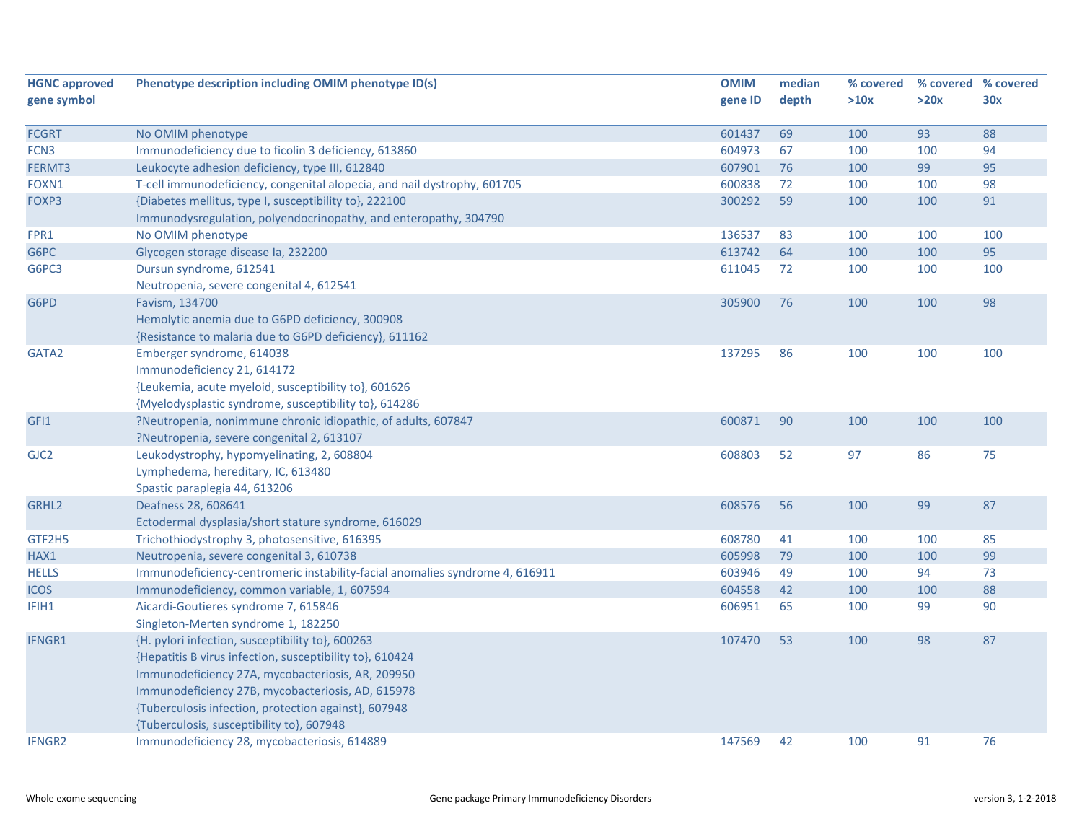| <b>HGNC approved</b> | Phenotype description including OMIM phenotype ID(s)                         | <b>OMIM</b> | median | % covered | % covered % covered |     |
|----------------------|------------------------------------------------------------------------------|-------------|--------|-----------|---------------------|-----|
| gene symbol          |                                                                              | gene ID     | depth  | >10x      | >20x                | 30x |
|                      |                                                                              |             |        |           |                     |     |
| <b>FCGRT</b>         | No OMIM phenotype                                                            | 601437      | 69     | 100       | 93                  | 88  |
| FCN3                 | Immunodeficiency due to ficolin 3 deficiency, 613860                         | 604973      | 67     | 100       | 100                 | 94  |
| FERMT3               | Leukocyte adhesion deficiency, type III, 612840                              | 607901      | 76     | 100       | 99                  | 95  |
| FOXN1                | T-cell immunodeficiency, congenital alopecia, and nail dystrophy, 601705     | 600838      | 72     | 100       | 100                 | 98  |
| FOXP3                | {Diabetes mellitus, type I, susceptibility to}, 222100                       | 300292      | 59     | 100       | 100                 | 91  |
|                      | Immunodysregulation, polyendocrinopathy, and enteropathy, 304790             |             |        |           |                     |     |
| FPR1                 | No OMIM phenotype                                                            | 136537      | 83     | 100       | 100                 | 100 |
| G6PC                 | Glycogen storage disease la, 232200                                          | 613742      | 64     | 100       | 100                 | 95  |
| G6PC3                | Dursun syndrome, 612541                                                      | 611045      | 72     | 100       | 100                 | 100 |
|                      | Neutropenia, severe congenital 4, 612541                                     |             |        |           |                     |     |
| G6PD                 | Favism, 134700                                                               | 305900      | 76     | 100       | 100                 | 98  |
|                      | Hemolytic anemia due to G6PD deficiency, 300908                              |             |        |           |                     |     |
|                      | {Resistance to malaria due to G6PD deficiency}, 611162                       |             |        |           |                     |     |
| GATA2                | Emberger syndrome, 614038                                                    | 137295      | 86     | 100       | 100                 | 100 |
|                      | Immunodeficiency 21, 614172                                                  |             |        |           |                     |     |
|                      | {Leukemia, acute myeloid, susceptibility to}, 601626                         |             |        |           |                     |     |
|                      | {Myelodysplastic syndrome, susceptibility to}, 614286                        |             |        |           |                     |     |
| GFI1                 | ?Neutropenia, nonimmune chronic idiopathic, of adults, 607847                | 600871      | 90     | 100       | 100                 | 100 |
|                      | ?Neutropenia, severe congenital 2, 613107                                    |             |        |           |                     |     |
| GJC <sub>2</sub>     | Leukodystrophy, hypomyelinating, 2, 608804                                   | 608803      | 52     | 97        | 86                  | 75  |
|                      | Lymphedema, hereditary, IC, 613480                                           |             |        |           |                     |     |
|                      | Spastic paraplegia 44, 613206                                                |             |        |           |                     |     |
| GRHL <sub>2</sub>    | Deafness 28, 608641                                                          | 608576      | 56     | 100       | 99                  | 87  |
|                      | Ectodermal dysplasia/short stature syndrome, 616029                          |             |        |           |                     |     |
| GTF2H5               | Trichothiodystrophy 3, photosensitive, 616395                                | 608780      | 41     | 100       | 100                 | 85  |
| HAX1                 | Neutropenia, severe congenital 3, 610738                                     | 605998      | 79     | 100       | 100                 | 99  |
| <b>HELLS</b>         | Immunodeficiency-centromeric instability-facial anomalies syndrome 4, 616911 | 603946      | 49     | 100       | 94                  | 73  |
| <b>ICOS</b>          | Immunodeficiency, common variable, 1, 607594                                 | 604558      | 42     | 100       | 100                 | 88  |
| IFIH1                | Aicardi-Goutieres syndrome 7, 615846                                         | 606951      | 65     | 100       | 99                  | 90  |
|                      | Singleton-Merten syndrome 1, 182250                                          |             |        |           |                     |     |
| IFNGR1               | {H. pylori infection, susceptibility to}, 600263                             | 107470      | 53     | 100       | 98                  | 87  |
|                      | {Hepatitis B virus infection, susceptibility to}, 610424                     |             |        |           |                     |     |
|                      | Immunodeficiency 27A, mycobacteriosis, AR, 209950                            |             |        |           |                     |     |
|                      | Immunodeficiency 27B, mycobacteriosis, AD, 615978                            |             |        |           |                     |     |
|                      | {Tuberculosis infection, protection against}, 607948                         |             |        |           |                     |     |
|                      | {Tuberculosis, susceptibility to}, 607948                                    |             |        |           |                     |     |
| <b>IFNGR2</b>        | Immunodeficiency 28, mycobacteriosis, 614889                                 | 147569      | 42     | 100       | 91                  | 76  |
|                      |                                                                              |             |        |           |                     |     |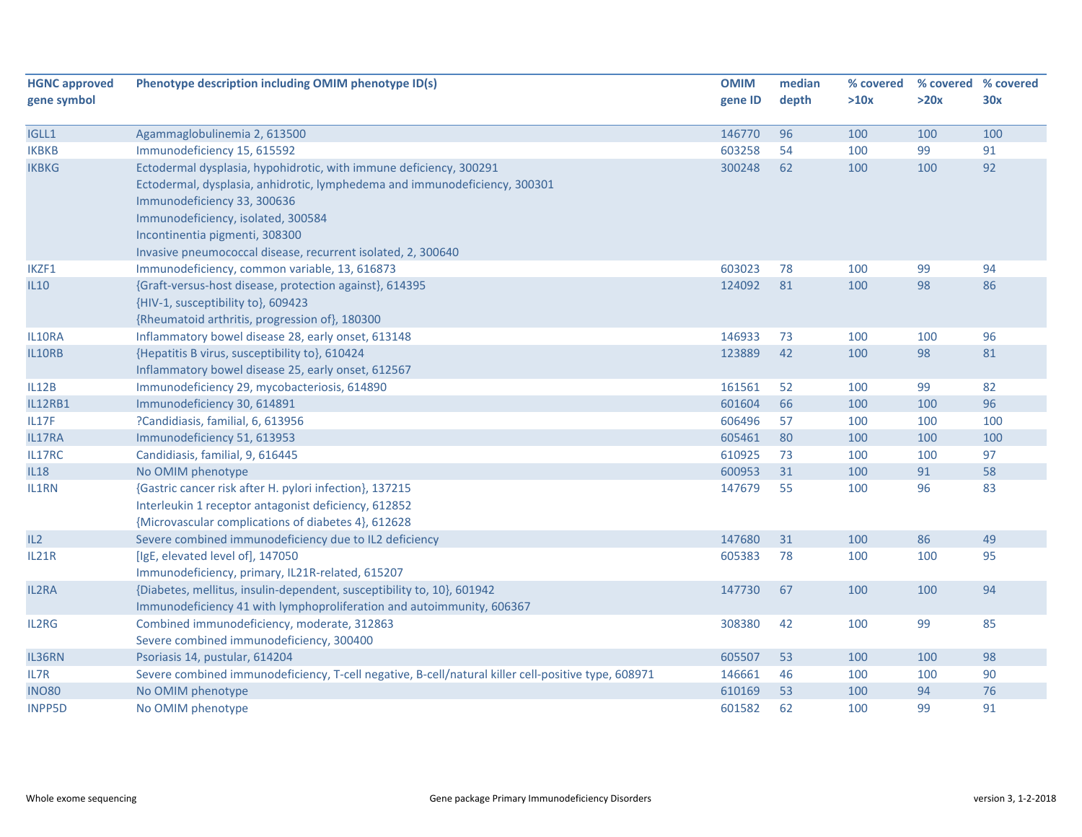| <b>HGNC approved</b> | Phenotype description including OMIM phenotype ID(s)                                                |         | median | % covered |      | % covered % covered |
|----------------------|-----------------------------------------------------------------------------------------------------|---------|--------|-----------|------|---------------------|
| gene symbol          |                                                                                                     | gene ID | depth  | >10x      | >20x | 30x                 |
|                      |                                                                                                     |         |        |           |      |                     |
| IGLL1                | Agammaglobulinemia 2, 613500                                                                        | 146770  | 96     | 100       | 100  | 100                 |
| <b>IKBKB</b>         | Immunodeficiency 15, 615592                                                                         | 603258  | 54     | 100       | 99   | 91                  |
| <b>IKBKG</b>         | Ectodermal dysplasia, hypohidrotic, with immune deficiency, 300291                                  | 300248  | 62     | 100       | 100  | 92                  |
|                      | Ectodermal, dysplasia, anhidrotic, lymphedema and immunodeficiency, 300301                          |         |        |           |      |                     |
|                      | Immunodeficiency 33, 300636                                                                         |         |        |           |      |                     |
|                      | Immunodeficiency, isolated, 300584                                                                  |         |        |           |      |                     |
|                      | Incontinentia pigmenti, 308300                                                                      |         |        |           |      |                     |
|                      | Invasive pneumococcal disease, recurrent isolated, 2, 300640                                        |         |        |           |      |                     |
| IKZF1                | Immunodeficiency, common variable, 13, 616873                                                       | 603023  | 78     | 100       | 99   | 94                  |
| <b>IL10</b>          | {Graft-versus-host disease, protection against}, 614395                                             | 124092  | 81     | 100       | 98   | 86                  |
|                      | {HIV-1, susceptibility to}, 609423                                                                  |         |        |           |      |                     |
|                      | {Rheumatoid arthritis, progression of}, 180300                                                      |         |        |           |      |                     |
| IL10RA               | Inflammatory bowel disease 28, early onset, 613148                                                  | 146933  | 73     | 100       | 100  | 96                  |
| IL10RB               | {Hepatitis B virus, susceptibility to}, 610424                                                      | 123889  | 42     | 100       | 98   | 81                  |
|                      | Inflammatory bowel disease 25, early onset, 612567                                                  |         |        |           |      |                     |
| IL12B                | Immunodeficiency 29, mycobacteriosis, 614890                                                        | 161561  | 52     | 100       | 99   | 82                  |
| <b>IL12RB1</b>       | Immunodeficiency 30, 614891                                                                         | 601604  | 66     | 100       | 100  | 96                  |
| IL17F                | ?Candidiasis, familial, 6, 613956                                                                   | 606496  | 57     | 100       | 100  | 100                 |
| IL17RA               | Immunodeficiency 51, 613953                                                                         | 605461  | 80     | 100       | 100  | 100                 |
| IL17RC               | Candidiasis, familial, 9, 616445                                                                    | 610925  | 73     | 100       | 100  | 97                  |
| <b>IL18</b>          | No OMIM phenotype                                                                                   | 600953  | 31     | 100       | 91   | 58                  |
| IL1RN                | {Gastric cancer risk after H. pylori infection}, 137215                                             | 147679  | 55     | 100       | 96   | 83                  |
|                      | Interleukin 1 receptor antagonist deficiency, 612852                                                |         |        |           |      |                     |
|                      | {Microvascular complications of diabetes 4}, 612628                                                 |         |        |           |      |                     |
| IL2                  | Severe combined immunodeficiency due to IL2 deficiency                                              | 147680  | 31     | 100       | 86   | 49                  |
| IL21R                | [IgE, elevated level of], 147050                                                                    | 605383  | 78     | 100       | 100  | 95                  |
|                      | Immunodeficiency, primary, IL21R-related, 615207                                                    |         |        |           |      |                     |
| IL2RA                | {Diabetes, mellitus, insulin-dependent, susceptibility to, 10}, 601942                              | 147730  | 67     | 100       | 100  | 94                  |
|                      | Immunodeficiency 41 with lymphoproliferation and autoimmunity, 606367                               |         |        |           |      |                     |
| IL2RG                | Combined immunodeficiency, moderate, 312863                                                         | 308380  | 42     | 100       | 99   | 85                  |
|                      | Severe combined immunodeficiency, 300400                                                            |         |        |           |      |                     |
| IL36RN               | Psoriasis 14, pustular, 614204                                                                      | 605507  | 53     | 100       | 100  | 98                  |
| IL7R                 | Severe combined immunodeficiency, T-cell negative, B-cell/natural killer cell-positive type, 608971 | 146661  | 46     | 100       | 100  | 90                  |
| <b>INO80</b>         | No OMIM phenotype                                                                                   | 610169  | 53     | 100       | 94   | 76                  |
| <b>INPP5D</b>        | No OMIM phenotype                                                                                   | 601582  | 62     | 100       | 99   | 91                  |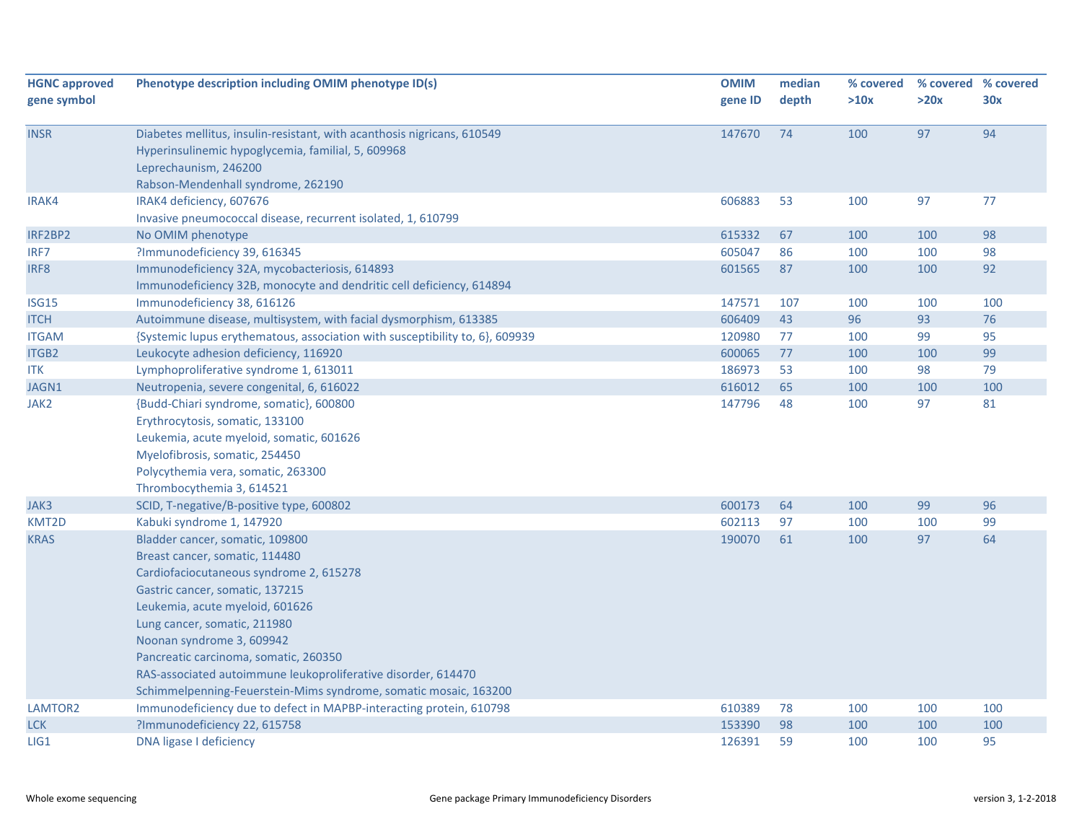| <b>HGNC approved</b><br><b>OMIM</b><br>Phenotype description including OMIM phenotype ID(s)            | median | % covered |      | % covered % covered |
|--------------------------------------------------------------------------------------------------------|--------|-----------|------|---------------------|
| gene symbol<br>gene ID                                                                                 | depth  | >10x      | >20x | 30x                 |
|                                                                                                        |        |           |      |                     |
| <b>INSR</b><br>Diabetes mellitus, insulin-resistant, with acanthosis nigricans, 610549<br>147670       | 74     | 100       | 97   | 94                  |
| Hyperinsulinemic hypoglycemia, familial, 5, 609968                                                     |        |           |      |                     |
| Leprechaunism, 246200                                                                                  |        |           |      |                     |
| Rabson-Mendenhall syndrome, 262190                                                                     |        |           |      |                     |
| IRAK4 deficiency, 607676<br>606883<br>IRAK4                                                            | 53     | 100       | 97   | 77                  |
| Invasive pneumococcal disease, recurrent isolated, 1, 610799                                           |        |           |      |                     |
| 615332<br>IRF2BP2<br>No OMIM phenotype                                                                 | 67     | 100       | 100  | 98                  |
| ?Immunodeficiency 39, 616345<br>605047<br>IRF7                                                         | 86     | 100       | 100  | 98                  |
| Immunodeficiency 32A, mycobacteriosis, 614893<br>601565<br>IRF8                                        | 87     | 100       | 100  | 92                  |
| Immunodeficiency 32B, monocyte and dendritic cell deficiency, 614894                                   |        |           |      |                     |
| Immunodeficiency 38, 616126<br><b>ISG15</b><br>147571                                                  | 107    | 100       | 100  | 100                 |
| Autoimmune disease, multisystem, with facial dysmorphism, 613385<br>606409<br><b>ITCH</b>              | 43     | 96        | 93   | 76                  |
| 120980<br><b>ITGAM</b><br>{Systemic lupus erythematous, association with susceptibility to, 6}, 609939 | 77     | 100       | 99   | 95                  |
| <b>ITGB2</b><br>Leukocyte adhesion deficiency, 116920<br>600065                                        | 77     | 100       | 100  | 99                  |
| Lymphoproliferative syndrome 1, 613011<br>186973<br>ITK                                                | 53     | 100       | 98   | 79                  |
| 616012<br>JAGN1<br>Neutropenia, severe congenital, 6, 616022                                           | 65     | 100       | 100  | 100                 |
| JAK2<br>{Budd-Chiari syndrome, somatic}, 600800<br>147796                                              | 48     | 100       | 97   | 81                  |
| Erythrocytosis, somatic, 133100                                                                        |        |           |      |                     |
| Leukemia, acute myeloid, somatic, 601626                                                               |        |           |      |                     |
| Myelofibrosis, somatic, 254450                                                                         |        |           |      |                     |
| Polycythemia vera, somatic, 263300                                                                     |        |           |      |                     |
| Thrombocythemia 3, 614521                                                                              |        |           |      |                     |
| SCID, T-negative/B-positive type, 600802<br>600173<br>JAK3                                             | 64     | 100       | 99   | 96                  |
| Kabuki syndrome 1, 147920<br>602113<br>KMT2D                                                           | 97     | 100       | 100  | 99                  |
| <b>KRAS</b><br>Bladder cancer, somatic, 109800<br>190070                                               | 61     | 100       | 97   | 64                  |
| Breast cancer, somatic, 114480                                                                         |        |           |      |                     |
| Cardiofaciocutaneous syndrome 2, 615278                                                                |        |           |      |                     |
| Gastric cancer, somatic, 137215                                                                        |        |           |      |                     |
| Leukemia, acute myeloid, 601626                                                                        |        |           |      |                     |
| Lung cancer, somatic, 211980                                                                           |        |           |      |                     |
| Noonan syndrome 3, 609942                                                                              |        |           |      |                     |
| Pancreatic carcinoma, somatic, 260350                                                                  |        |           |      |                     |
| RAS-associated autoimmune leukoproliferative disorder, 614470                                          |        |           |      |                     |
| Schimmelpenning-Feuerstein-Mims syndrome, somatic mosaic, 163200                                       |        |           |      |                     |
| Immunodeficiency due to defect in MAPBP-interacting protein, 610798<br>610389<br>LAMTOR <sub>2</sub>   | 78     | 100       | 100  | 100                 |
| ?Immunodeficiency 22, 615758<br>153390<br><b>LCK</b>                                                   | 98     | 100       | 100  | 100                 |
| LIG1<br>DNA ligase I deficiency<br>126391                                                              | 59     | 100       | 100  | 95                  |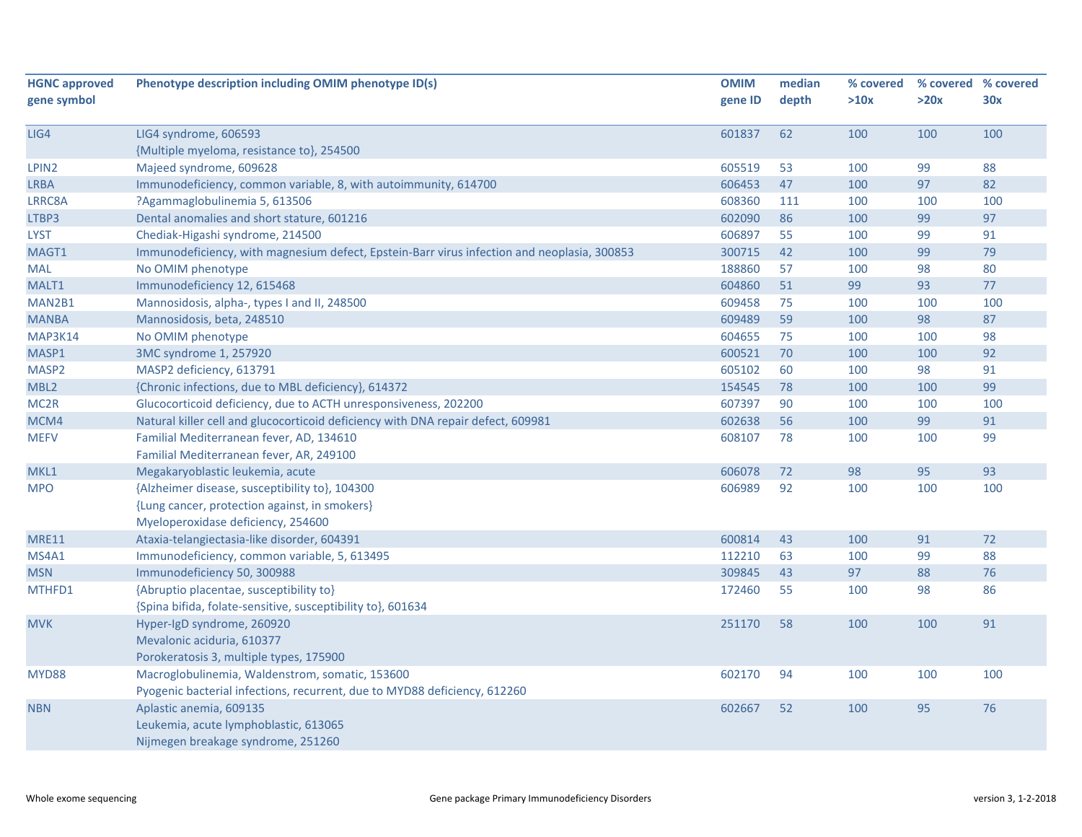| <b>HGNC approved</b> | Phenotype description including OMIM phenotype ID(s)                                        | <b>OMIM</b> | median | % covered |      | % covered % covered |
|----------------------|---------------------------------------------------------------------------------------------|-------------|--------|-----------|------|---------------------|
| gene symbol          |                                                                                             | gene ID     | depth  | >10x      | >20x | 30x                 |
|                      |                                                                                             |             |        |           |      |                     |
| LIG4                 | LIG4 syndrome, 606593                                                                       | 601837      | 62     | 100       | 100  | 100                 |
|                      | {Multiple myeloma, resistance to}, 254500                                                   |             |        |           |      |                     |
| LPIN2                | Majeed syndrome, 609628                                                                     | 605519      | 53     | 100       | 99   | 88                  |
| <b>LRBA</b>          | Immunodeficiency, common variable, 8, with autoimmunity, 614700                             | 606453      | 47     | 100       | 97   | 82                  |
| LRRC8A               | ?Agammaglobulinemia 5, 613506                                                               | 608360      | 111    | 100       | 100  | 100                 |
| LTBP3                | Dental anomalies and short stature, 601216                                                  | 602090      | 86     | 100       | 99   | 97                  |
| <b>LYST</b>          | Chediak-Higashi syndrome, 214500                                                            | 606897      | 55     | 100       | 99   | 91                  |
| MAGT1                | Immunodeficiency, with magnesium defect, Epstein-Barr virus infection and neoplasia, 300853 | 300715      | 42     | 100       | 99   | 79                  |
| <b>MAL</b>           | No OMIM phenotype                                                                           | 188860      | 57     | 100       | 98   | 80                  |
| MALT1                | Immunodeficiency 12, 615468                                                                 | 604860      | 51     | 99        | 93   | 77                  |
| MAN2B1               | Mannosidosis, alpha-, types I and II, 248500                                                | 609458      | 75     | 100       | 100  | 100                 |
| <b>MANBA</b>         | Mannosidosis, beta, 248510                                                                  | 609489      | 59     | 100       | 98   | 87                  |
| MAP3K14              | No OMIM phenotype                                                                           | 604655      | 75     | 100       | 100  | 98                  |
| MASP1                | 3MC syndrome 1, 257920                                                                      | 600521      | 70     | 100       | 100  | 92                  |
| MASP <sub>2</sub>    | MASP2 deficiency, 613791                                                                    | 605102      | 60     | 100       | 98   | 91                  |
| MBL <sub>2</sub>     | {Chronic infections, due to MBL deficiency}, 614372                                         | 154545      | 78     | 100       | 100  | 99                  |
| MC <sub>2R</sub>     | Glucocorticoid deficiency, due to ACTH unresponsiveness, 202200                             | 607397      | 90     | 100       | 100  | 100                 |
| MCM4                 | Natural killer cell and glucocorticoid deficiency with DNA repair defect, 609981            | 602638      | 56     | 100       | 99   | 91                  |
| <b>MEFV</b>          | Familial Mediterranean fever, AD, 134610                                                    | 608107      | 78     | 100       | 100  | 99                  |
|                      | Familial Mediterranean fever, AR, 249100                                                    |             |        |           |      |                     |
| MKL1                 | Megakaryoblastic leukemia, acute                                                            | 606078      | 72     | 98        | 95   | 93                  |
| <b>MPO</b>           | {Alzheimer disease, susceptibility to}, 104300                                              | 606989      | 92     | 100       | 100  | 100                 |
|                      | {Lung cancer, protection against, in smokers}                                               |             |        |           |      |                     |
|                      | Myeloperoxidase deficiency, 254600                                                          |             |        |           |      |                     |
| <b>MRE11</b>         | Ataxia-telangiectasia-like disorder, 604391                                                 | 600814      | 43     | 100       | 91   | 72                  |
| MS4A1                | Immunodeficiency, common variable, 5, 613495                                                | 112210      | 63     | 100       | 99   | 88                  |
| <b>MSN</b>           | Immunodeficiency 50, 300988                                                                 | 309845      | 43     | 97        | 88   | 76                  |
| MTHFD1               | {Abruptio placentae, susceptibility to}                                                     | 172460      | 55     | 100       | 98   | 86                  |
|                      | {Spina bifida, folate-sensitive, susceptibility to}, 601634                                 |             |        |           |      |                     |
| <b>MVK</b>           | Hyper-IgD syndrome, 260920                                                                  | 251170      | 58     | 100       | 100  | 91                  |
|                      | Mevalonic aciduria, 610377                                                                  |             |        |           |      |                     |
|                      | Porokeratosis 3, multiple types, 175900                                                     |             |        |           |      |                     |
| MYD88                | Macroglobulinemia, Waldenstrom, somatic, 153600                                             | 602170      | 94     | 100       | 100  | 100                 |
|                      | Pyogenic bacterial infections, recurrent, due to MYD88 deficiency, 612260                   |             |        |           |      |                     |
| <b>NBN</b>           | Aplastic anemia, 609135                                                                     | 602667      | 52     | 100       | 95   | 76                  |
|                      | Leukemia, acute lymphoblastic, 613065                                                       |             |        |           |      |                     |
|                      | Nijmegen breakage syndrome, 251260                                                          |             |        |           |      |                     |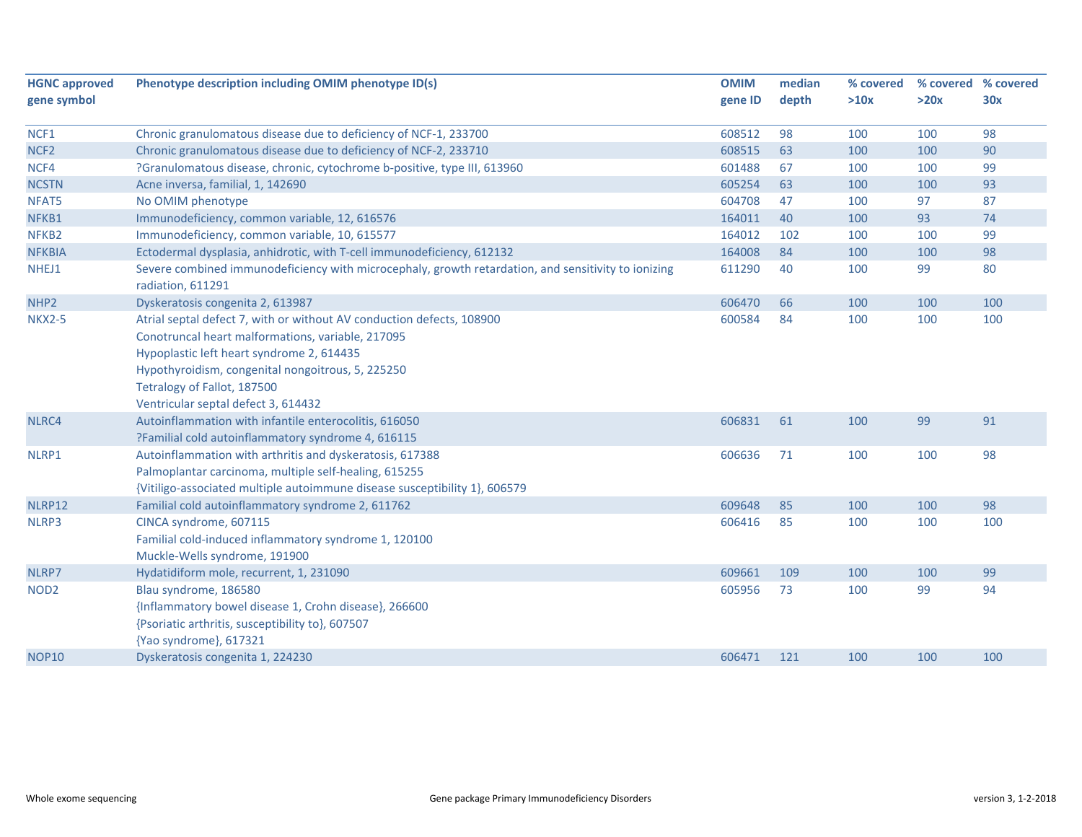| <b>HGNC approved</b> | Phenotype description including OMIM phenotype ID(s)                                                                                                                                                                                                                                               | <b>OMIM</b> | median | % covered |      | % covered % covered |
|----------------------|----------------------------------------------------------------------------------------------------------------------------------------------------------------------------------------------------------------------------------------------------------------------------------------------------|-------------|--------|-----------|------|---------------------|
| gene symbol          |                                                                                                                                                                                                                                                                                                    | gene ID     | depth  | >10x      | >20x | 30x                 |
| NCF1                 | Chronic granulomatous disease due to deficiency of NCF-1, 233700                                                                                                                                                                                                                                   | 608512      | 98     | 100       | 100  | 98                  |
| NCF <sub>2</sub>     | Chronic granulomatous disease due to deficiency of NCF-2, 233710                                                                                                                                                                                                                                   | 608515      | 63     | 100       | 100  | 90                  |
| NCF4                 | ?Granulomatous disease, chronic, cytochrome b-positive, type III, 613960                                                                                                                                                                                                                           | 601488      | 67     | 100       | 100  | 99                  |
| <b>NCSTN</b>         | Acne inversa, familial, 1, 142690                                                                                                                                                                                                                                                                  | 605254      | 63     | 100       | 100  | 93                  |
| NFAT5                | No OMIM phenotype                                                                                                                                                                                                                                                                                  | 604708      | 47     | 100       | 97   | 87                  |
| NFKB1                | Immunodeficiency, common variable, 12, 616576                                                                                                                                                                                                                                                      | 164011      | 40     | 100       | 93   | 74                  |
| NFKB <sub>2</sub>    | Immunodeficiency, common variable, 10, 615577                                                                                                                                                                                                                                                      | 164012      | 102    | 100       | 100  | 99                  |
| <b>NFKBIA</b>        | Ectodermal dysplasia, anhidrotic, with T-cell immunodeficiency, 612132                                                                                                                                                                                                                             | 164008      | 84     | 100       | 100  | 98                  |
| NHEJ1                | Severe combined immunodeficiency with microcephaly, growth retardation, and sensitivity to ionizing<br>radiation, 611291                                                                                                                                                                           | 611290      | 40     | 100       | 99   | 80                  |
| NHP <sub>2</sub>     | Dyskeratosis congenita 2, 613987                                                                                                                                                                                                                                                                   | 606470      | 66     | 100       | 100  | 100                 |
| <b>NKX2-5</b>        | Atrial septal defect 7, with or without AV conduction defects, 108900<br>Conotruncal heart malformations, variable, 217095<br>Hypoplastic left heart syndrome 2, 614435<br>Hypothyroidism, congenital nongoitrous, 5, 225250<br>Tetralogy of Fallot, 187500<br>Ventricular septal defect 3, 614432 | 600584      | 84     | 100       | 100  | 100                 |
| NLRC4                | Autoinflammation with infantile enterocolitis, 616050<br>?Familial cold autoinflammatory syndrome 4, 616115                                                                                                                                                                                        | 606831      | 61     | 100       | 99   | 91                  |
| NLRP1                | Autoinflammation with arthritis and dyskeratosis, 617388<br>Palmoplantar carcinoma, multiple self-healing, 615255<br>{Vitiligo-associated multiple autoimmune disease susceptibility 1}, 606579                                                                                                    | 606636      | 71     | 100       | 100  | 98                  |
| NLRP12               | Familial cold autoinflammatory syndrome 2, 611762                                                                                                                                                                                                                                                  | 609648      | 85     | 100       | 100  | 98                  |
| NLRP3                | CINCA syndrome, 607115<br>Familial cold-induced inflammatory syndrome 1, 120100<br>Muckle-Wells syndrome, 191900                                                                                                                                                                                   | 606416      | 85     | 100       | 100  | 100                 |
| NLRP7                | Hydatidiform mole, recurrent, 1, 231090                                                                                                                                                                                                                                                            | 609661      | 109    | 100       | 100  | 99                  |
| NOD <sub>2</sub>     | Blau syndrome, 186580<br>{Inflammatory bowel disease 1, Crohn disease}, 266600<br>{Psoriatic arthritis, susceptibility to}, 607507<br>{Yao syndrome}, 617321                                                                                                                                       | 605956      | 73     | 100       | 99   | 94                  |
| <b>NOP10</b>         | Dyskeratosis congenita 1, 224230                                                                                                                                                                                                                                                                   | 606471      | 121    | 100       | 100  | 100                 |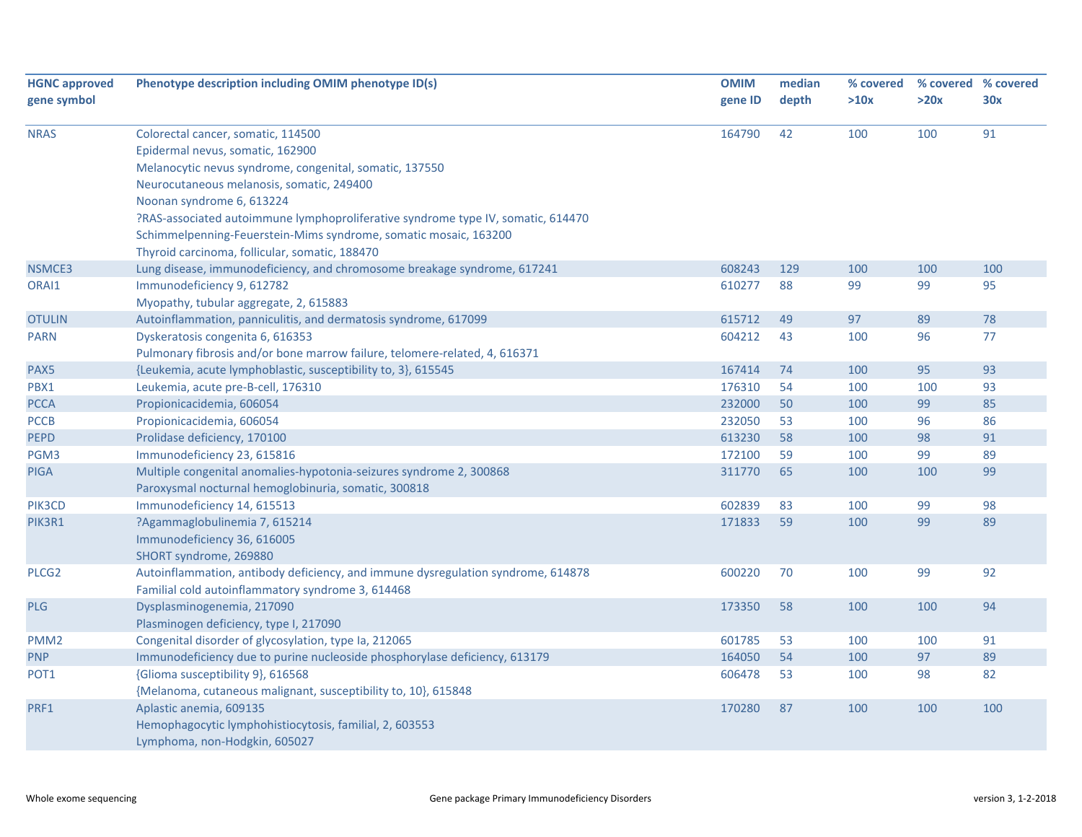| <b>HGNC approved</b> | Phenotype description including OMIM phenotype ID(s)                             | <b>OMIM</b> | median | % covered | % covered % covered |     |
|----------------------|----------------------------------------------------------------------------------|-------------|--------|-----------|---------------------|-----|
| gene symbol          |                                                                                  | gene ID     | depth  | >10x      | >20x                | 30x |
|                      |                                                                                  |             |        |           |                     |     |
| <b>NRAS</b>          | Colorectal cancer, somatic, 114500                                               | 164790      | 42     | 100       | 100                 | 91  |
|                      | Epidermal nevus, somatic, 162900                                                 |             |        |           |                     |     |
|                      | Melanocytic nevus syndrome, congenital, somatic, 137550                          |             |        |           |                     |     |
|                      | Neurocutaneous melanosis, somatic, 249400                                        |             |        |           |                     |     |
|                      | Noonan syndrome 6, 613224                                                        |             |        |           |                     |     |
|                      | ?RAS-associated autoimmune lymphoproliferative syndrome type IV, somatic, 614470 |             |        |           |                     |     |
|                      | Schimmelpenning-Feuerstein-Mims syndrome, somatic mosaic, 163200                 |             |        |           |                     |     |
|                      | Thyroid carcinoma, follicular, somatic, 188470                                   |             |        |           |                     |     |
| NSMCE3               | Lung disease, immunodeficiency, and chromosome breakage syndrome, 617241         | 608243      | 129    | 100       | 100                 | 100 |
| ORAI1                | Immunodeficiency 9, 612782                                                       | 610277      | 88     | 99        | 99                  | 95  |
|                      | Myopathy, tubular aggregate, 2, 615883                                           |             |        |           |                     |     |
| <b>OTULIN</b>        | Autoinflammation, panniculitis, and dermatosis syndrome, 617099                  | 615712      | 49     | 97        | 89                  | 78  |
| <b>PARN</b>          | Dyskeratosis congenita 6, 616353                                                 | 604212      | 43     | 100       | 96                  | 77  |
|                      | Pulmonary fibrosis and/or bone marrow failure, telomere-related, 4, 616371       |             |        |           |                     |     |
| PAX5                 | {Leukemia, acute lymphoblastic, susceptibility to, 3}, 615545                    | 167414      | 74     | 100       | 95                  | 93  |
| PBX1                 | Leukemia, acute pre-B-cell, 176310                                               | 176310      | 54     | 100       | 100                 | 93  |
| <b>PCCA</b>          | Propionicacidemia, 606054                                                        | 232000      | 50     | 100       | 99                  | 85  |
| <b>PCCB</b>          | Propionicacidemia, 606054                                                        | 232050      | 53     | 100       | 96                  | 86  |
| <b>PEPD</b>          | Prolidase deficiency, 170100                                                     | 613230      | 58     | 100       | 98                  | 91  |
| PGM3                 | Immunodeficiency 23, 615816                                                      | 172100      | 59     | 100       | 99                  | 89  |
| <b>PIGA</b>          | Multiple congenital anomalies-hypotonia-seizures syndrome 2, 300868              | 311770      | 65     | 100       | 100                 | 99  |
|                      | Paroxysmal nocturnal hemoglobinuria, somatic, 300818                             |             |        |           |                     |     |
| PIK3CD               | Immunodeficiency 14, 615513                                                      | 602839      | 83     | 100       | 99                  | 98  |
| PIK3R1               | ?Agammaglobulinemia 7, 615214                                                    | 171833      | 59     | 100       | 99                  | 89  |
|                      | Immunodeficiency 36, 616005                                                      |             |        |           |                     |     |
|                      | SHORT syndrome, 269880                                                           |             |        |           |                     |     |
| PLCG <sub>2</sub>    | Autoinflammation, antibody deficiency, and immune dysregulation syndrome, 614878 | 600220      | 70     | 100       | 99                  | 92  |
|                      | Familial cold autoinflammatory syndrome 3, 614468                                |             |        |           |                     |     |
| <b>PLG</b>           | Dysplasminogenemia, 217090                                                       | 173350      | 58     | 100       | 100                 | 94  |
|                      | Plasminogen deficiency, type I, 217090                                           |             |        |           |                     |     |
| PMM <sub>2</sub>     | Congenital disorder of glycosylation, type Ia, 212065                            | 601785      | 53     | 100       | 100                 | 91  |
| <b>PNP</b>           | Immunodeficiency due to purine nucleoside phosphorylase deficiency, 613179       | 164050      | 54     | 100       | 97                  | 89  |
| POT1                 | {Glioma susceptibility 9}, 616568                                                | 606478      | 53     | 100       | 98                  | 82  |
|                      | {Melanoma, cutaneous malignant, susceptibility to, 10}, 615848                   |             |        |           |                     |     |
| PRF1                 | Aplastic anemia, 609135                                                          | 170280      | 87     | 100       | 100                 | 100 |
|                      | Hemophagocytic lymphohistiocytosis, familial, 2, 603553                          |             |        |           |                     |     |
|                      | Lymphoma, non-Hodgkin, 605027                                                    |             |        |           |                     |     |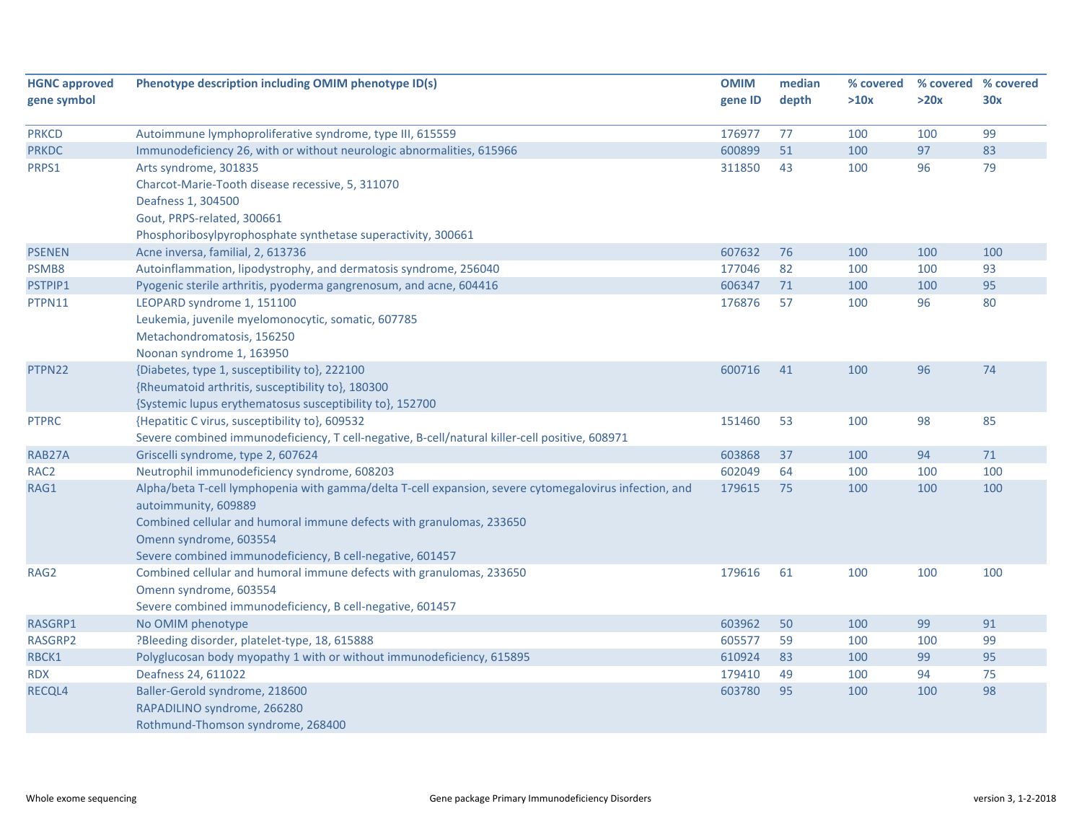| <b>HGNC approved</b> | Phenotype description including OMIM phenotype ID(s)                                                   | <b>OMIM</b> | median | % covered | % covered % covered |     |
|----------------------|--------------------------------------------------------------------------------------------------------|-------------|--------|-----------|---------------------|-----|
| gene symbol          |                                                                                                        | gene ID     | depth  | >10x      | >20x                | 30x |
|                      |                                                                                                        |             |        |           |                     |     |
| <b>PRKCD</b>         | Autoimmune lymphoproliferative syndrome, type III, 615559                                              | 176977      | 77     | 100       | 100                 | 99  |
| <b>PRKDC</b>         | Immunodeficiency 26, with or without neurologic abnormalities, 615966                                  | 600899      | 51     | 100       | 97                  | 83  |
| PRPS1                | Arts syndrome, 301835                                                                                  | 311850      | 43     | 100       | 96                  | 79  |
|                      | Charcot-Marie-Tooth disease recessive, 5, 311070                                                       |             |        |           |                     |     |
|                      | Deafness 1, 304500                                                                                     |             |        |           |                     |     |
|                      | Gout, PRPS-related, 300661                                                                             |             |        |           |                     |     |
|                      | Phosphoribosylpyrophosphate synthetase superactivity, 300661                                           |             |        |           |                     |     |
| <b>PSENEN</b>        | Acne inversa, familial, 2, 613736                                                                      | 607632      | 76     | 100       | 100                 | 100 |
| PSMB8                | Autoinflammation, lipodystrophy, and dermatosis syndrome, 256040                                       | 177046      | 82     | 100       | 100                 | 93  |
| PSTPIP1              | Pyogenic sterile arthritis, pyoderma gangrenosum, and acne, 604416                                     | 606347      | 71     | 100       | 100                 | 95  |
| PTPN11               | LEOPARD syndrome 1, 151100                                                                             | 176876      | 57     | 100       | 96                  | 80  |
|                      | Leukemia, juvenile myelomonocytic, somatic, 607785                                                     |             |        |           |                     |     |
|                      | Metachondromatosis, 156250                                                                             |             |        |           |                     |     |
|                      | Noonan syndrome 1, 163950                                                                              |             |        |           |                     |     |
| PTPN22               | {Diabetes, type 1, susceptibility to}, 222100                                                          | 600716      | 41     | 100       | 96                  | 74  |
|                      | {Rheumatoid arthritis, susceptibility to}, 180300                                                      |             |        |           |                     |     |
|                      | {Systemic lupus erythematosus susceptibility to}, 152700                                               |             |        |           |                     |     |
| <b>PTPRC</b>         | {Hepatitic C virus, susceptibility to}, 609532                                                         | 151460      | 53     | 100       | 98                  | 85  |
|                      | Severe combined immunodeficiency, T cell-negative, B-cell/natural killer-cell positive, 608971         |             |        |           |                     |     |
| RAB27A               | Griscelli syndrome, type 2, 607624                                                                     | 603868      | 37     | 100       | 94                  | 71  |
| RAC <sub>2</sub>     | Neutrophil immunodeficiency syndrome, 608203                                                           | 602049      | 64     | 100       | 100                 | 100 |
| RAG1                 | Alpha/beta T-cell lymphopenia with gamma/delta T-cell expansion, severe cytomegalovirus infection, and | 179615      | 75     | 100       | 100                 | 100 |
|                      | autoimmunity, 609889                                                                                   |             |        |           |                     |     |
|                      | Combined cellular and humoral immune defects with granulomas, 233650                                   |             |        |           |                     |     |
|                      | Omenn syndrome, 603554                                                                                 |             |        |           |                     |     |
|                      | Severe combined immunodeficiency, B cell-negative, 601457                                              |             |        |           |                     |     |
| RAG2                 | Combined cellular and humoral immune defects with granulomas, 233650                                   | 179616      | 61     | 100       | 100                 | 100 |
|                      | Omenn syndrome, 603554                                                                                 |             |        |           |                     |     |
|                      | Severe combined immunodeficiency, B cell-negative, 601457                                              |             |        |           |                     |     |
| RASGRP1              | No OMIM phenotype                                                                                      | 603962      | 50     | 100       | 99                  | 91  |
| RASGRP2              | ?Bleeding disorder, platelet-type, 18, 615888                                                          | 605577      | 59     | 100       | 100                 | 99  |
| RBCK1                | Polyglucosan body myopathy 1 with or without immunodeficiency, 615895                                  | 610924      | 83     | 100       | 99                  | 95  |
| <b>RDX</b>           | Deafness 24, 611022                                                                                    | 179410      | 49     | 100       | 94                  | 75  |
| RECQL4               | Baller-Gerold syndrome, 218600                                                                         | 603780      | 95     | 100       | 100                 | 98  |
|                      | RAPADILINO syndrome, 266280                                                                            |             |        |           |                     |     |
|                      | Rothmund-Thomson syndrome, 268400                                                                      |             |        |           |                     |     |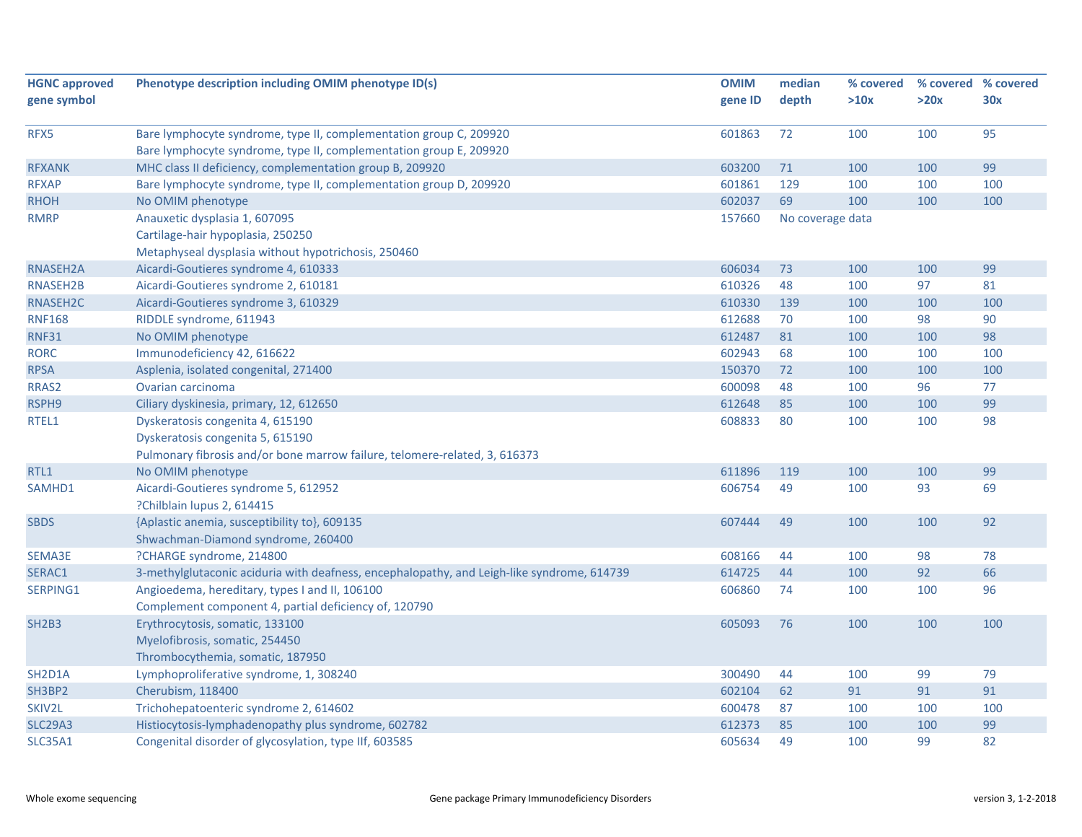| <b>HGNC approved</b>             | Phenotype description including OMIM phenotype ID(s)                                       | <b>OMIM</b> | median           | % covered |      | % covered % covered |
|----------------------------------|--------------------------------------------------------------------------------------------|-------------|------------------|-----------|------|---------------------|
| gene symbol                      |                                                                                            | gene ID     | depth            | >10x      | >20x | 30x                 |
|                                  |                                                                                            |             |                  |           |      |                     |
| RFX5                             | Bare lymphocyte syndrome, type II, complementation group C, 209920                         | 601863      | 72               | 100       | 100  | 95                  |
|                                  | Bare lymphocyte syndrome, type II, complementation group E, 209920                         |             |                  |           |      |                     |
| <b>RFXANK</b>                    | MHC class II deficiency, complementation group B, 209920                                   | 603200      | 71               | 100       | 100  | 99                  |
| <b>RFXAP</b>                     | Bare lymphocyte syndrome, type II, complementation group D, 209920                         | 601861      | 129              | 100       | 100  | 100                 |
| <b>RHOH</b>                      | No OMIM phenotype                                                                          | 602037      | 69               | 100       | 100  | 100                 |
| <b>RMRP</b>                      | Anauxetic dysplasia 1, 607095                                                              | 157660      | No coverage data |           |      |                     |
|                                  | Cartilage-hair hypoplasia, 250250                                                          |             |                  |           |      |                     |
|                                  | Metaphyseal dysplasia without hypotrichosis, 250460                                        |             |                  |           |      |                     |
| RNASEH2A                         | Aicardi-Goutieres syndrome 4, 610333                                                       | 606034      | 73               | 100       | 100  | 99                  |
| <b>RNASEH2B</b>                  | Aicardi-Goutieres syndrome 2, 610181                                                       | 610326      | 48               | 100       | 97   | 81                  |
| RNASEH2C                         | Aicardi-Goutieres syndrome 3, 610329                                                       | 610330      | 139              | 100       | 100  | 100                 |
| <b>RNF168</b>                    | RIDDLE syndrome, 611943                                                                    | 612688      | 70               | 100       | 98   | 90                  |
| <b>RNF31</b>                     | No OMIM phenotype                                                                          | 612487      | 81               | 100       | 100  | 98                  |
| <b>RORC</b>                      | Immunodeficiency 42, 616622                                                                | 602943      | 68               | 100       | 100  | 100                 |
| <b>RPSA</b>                      | Asplenia, isolated congenital, 271400                                                      | 150370      | 72               | 100       | 100  | 100                 |
| RRAS2                            | Ovarian carcinoma                                                                          | 600098      | 48               | 100       | 96   | 77                  |
| RSPH9                            | Ciliary dyskinesia, primary, 12, 612650                                                    | 612648      | 85               | 100       | 100  | 99                  |
| RTEL1                            | Dyskeratosis congenita 4, 615190                                                           | 608833      | 80               | 100       | 100  | 98                  |
|                                  | Dyskeratosis congenita 5, 615190                                                           |             |                  |           |      |                     |
|                                  | Pulmonary fibrosis and/or bone marrow failure, telomere-related, 3, 616373                 |             |                  |           |      |                     |
| RTL1                             | No OMIM phenotype                                                                          | 611896      | 119              | 100       | 100  | 99                  |
| SAMHD1                           | Aicardi-Goutieres syndrome 5, 612952                                                       | 606754      | 49               | 100       | 93   | 69                  |
|                                  | ?Chilblain lupus 2, 614415                                                                 |             |                  |           |      |                     |
| <b>SBDS</b>                      | {Aplastic anemia, susceptibility to}, 609135                                               | 607444      | 49               | 100       | 100  | 92                  |
|                                  | Shwachman-Diamond syndrome, 260400                                                         |             |                  |           |      |                     |
| SEMA3E                           | ?CHARGE syndrome, 214800                                                                   | 608166      | 44               | 100       | 98   | 78                  |
| SERAC1                           | 3-methylglutaconic aciduria with deafness, encephalopathy, and Leigh-like syndrome, 614739 | 614725      | 44               | 100       | 92   | 66                  |
| SERPING1                         | Angioedema, hereditary, types I and II, 106100                                             | 606860      | 74               | 100       | 100  | 96                  |
|                                  | Complement component 4, partial deficiency of, 120790                                      |             |                  |           |      |                     |
| <b>SH2B3</b>                     | Erythrocytosis, somatic, 133100                                                            | 605093      | 76               | 100       | 100  | 100                 |
|                                  | Myelofibrosis, somatic, 254450                                                             |             |                  |           |      |                     |
|                                  | Thrombocythemia, somatic, 187950                                                           |             |                  |           |      |                     |
| SH <sub>2</sub> D <sub>1</sub> A | Lymphoproliferative syndrome, 1, 308240                                                    | 300490      | 44               | 100       | 99   | 79                  |
| SH3BP2                           | Cherubism, 118400                                                                          | 602104      | 62               | 91        | 91   | 91                  |
| SKIV2L                           | Trichohepatoenteric syndrome 2, 614602                                                     | 600478      | 87               | 100       | 100  | 100                 |
| <b>SLC29A3</b>                   | Histiocytosis-lymphadenopathy plus syndrome, 602782                                        | 612373      | 85               | 100       | 100  | 99                  |
| <b>SLC35A1</b>                   | Congenital disorder of glycosylation, type IIf, 603585                                     | 605634      | 49               | 100       | 99   | 82                  |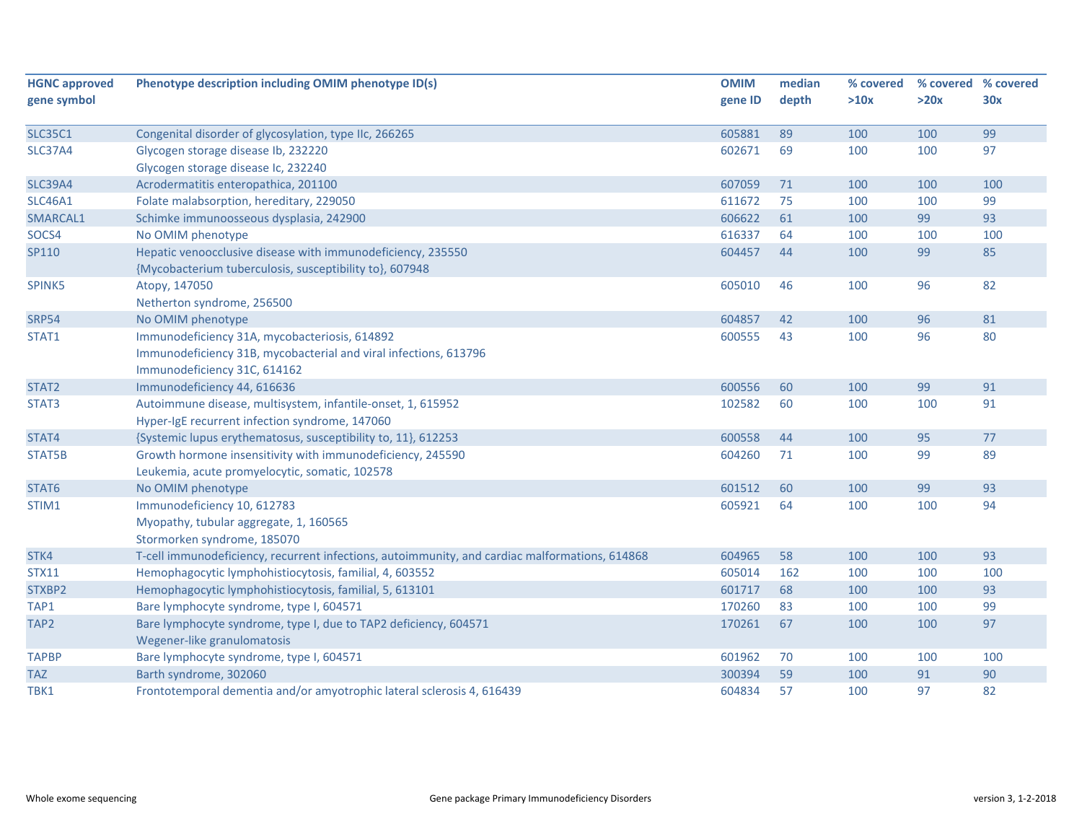| <b>HGNC approved</b> | Phenotype description including OMIM phenotype ID(s)                                           |         | median   | % covered |            | % covered % covered |
|----------------------|------------------------------------------------------------------------------------------------|---------|----------|-----------|------------|---------------------|
| gene symbol          |                                                                                                | gene ID | depth    | >10x      | >20x       | 30x                 |
|                      |                                                                                                |         |          |           |            | 99                  |
| <b>SLC35C1</b>       | Congenital disorder of glycosylation, type IIc, 266265                                         | 605881  | 89<br>69 | 100       | 100<br>100 | 97                  |
| <b>SLC37A4</b>       | Glycogen storage disease Ib, 232220                                                            | 602671  |          | 100       |            |                     |
|                      | Glycogen storage disease Ic, 232240                                                            |         |          |           |            |                     |
| <b>SLC39A4</b>       | Acrodermatitis enteropathica, 201100                                                           | 607059  | 71       | 100       | 100        | 100                 |
| <b>SLC46A1</b>       | Folate malabsorption, hereditary, 229050                                                       | 611672  | 75       | 100       | 100        | 99                  |
| SMARCAL1             | Schimke immunoosseous dysplasia, 242900                                                        | 606622  | 61       | 100       | 99         | 93                  |
| SOCS4                | No OMIM phenotype                                                                              | 616337  | 64       | 100       | 100        | 100                 |
| SP110                | Hepatic venoocclusive disease with immunodeficiency, 235550                                    | 604457  | 44       | 100       | 99         | 85                  |
|                      | {Mycobacterium tuberculosis, susceptibility to}, 607948                                        |         |          |           |            |                     |
| SPINK5               | Atopy, 147050                                                                                  | 605010  | 46       | 100       | 96         | 82                  |
|                      | Netherton syndrome, 256500                                                                     |         |          |           |            |                     |
| <b>SRP54</b>         | No OMIM phenotype                                                                              | 604857  | 42       | 100       | 96         | 81                  |
| STAT1                | Immunodeficiency 31A, mycobacteriosis, 614892                                                  | 600555  | 43       | 100       | 96         | 80                  |
|                      | Immunodeficiency 31B, mycobacterial and viral infections, 613796                               |         |          |           |            |                     |
|                      | Immunodeficiency 31C, 614162                                                                   |         |          |           |            |                     |
| STAT2                | Immunodeficiency 44, 616636                                                                    | 600556  | 60       | 100       | 99         | 91                  |
| STAT3                | Autoimmune disease, multisystem, infantile-onset, 1, 615952                                    | 102582  | 60       | 100       | 100        | 91                  |
|                      | Hyper-IgE recurrent infection syndrome, 147060                                                 |         |          |           |            |                     |
| STAT4                | {Systemic lupus erythematosus, susceptibility to, 11}, 612253                                  | 600558  | 44       | 100       | 95         | 77                  |
| STAT5B               | Growth hormone insensitivity with immunodeficiency, 245590                                     | 604260  | 71       | 100       | 99         | 89                  |
|                      | Leukemia, acute promyelocytic, somatic, 102578                                                 |         |          |           |            |                     |
| STAT6                | No OMIM phenotype                                                                              | 601512  | 60       | 100       | 99         | 93                  |
| STIM1                | Immunodeficiency 10, 612783                                                                    | 605921  | 64       | 100       | 100        | 94                  |
|                      | Myopathy, tubular aggregate, 1, 160565                                                         |         |          |           |            |                     |
|                      | Stormorken syndrome, 185070                                                                    |         |          |           |            |                     |
| STK4                 | T-cell immunodeficiency, recurrent infections, autoimmunity, and cardiac malformations, 614868 | 604965  | 58       | 100       | 100        | 93                  |
| <b>STX11</b>         | Hemophagocytic lymphohistiocytosis, familial, 4, 603552                                        | 605014  | 162      | 100       | 100        | 100                 |
| STXBP2               | Hemophagocytic lymphohistiocytosis, familial, 5, 613101                                        | 601717  | 68       | 100       | 100        | 93                  |
| TAP1                 | Bare lymphocyte syndrome, type I, 604571                                                       | 170260  | 83       | 100       | 100        | 99                  |
| TAP <sub>2</sub>     | Bare lymphocyte syndrome, type I, due to TAP2 deficiency, 604571                               | 170261  | 67       | 100       | 100        | 97                  |
|                      | Wegener-like granulomatosis                                                                    |         |          |           |            |                     |
| <b>TAPBP</b>         | Bare lymphocyte syndrome, type I, 604571                                                       | 601962  | 70       | 100       | 100        | 100                 |
| <b>TAZ</b>           | Barth syndrome, 302060                                                                         | 300394  | 59       | 100       | 91         | 90                  |
| TBK1                 | Frontotemporal dementia and/or amyotrophic lateral sclerosis 4, 616439                         | 604834  | 57       | 100       | 97         | 82                  |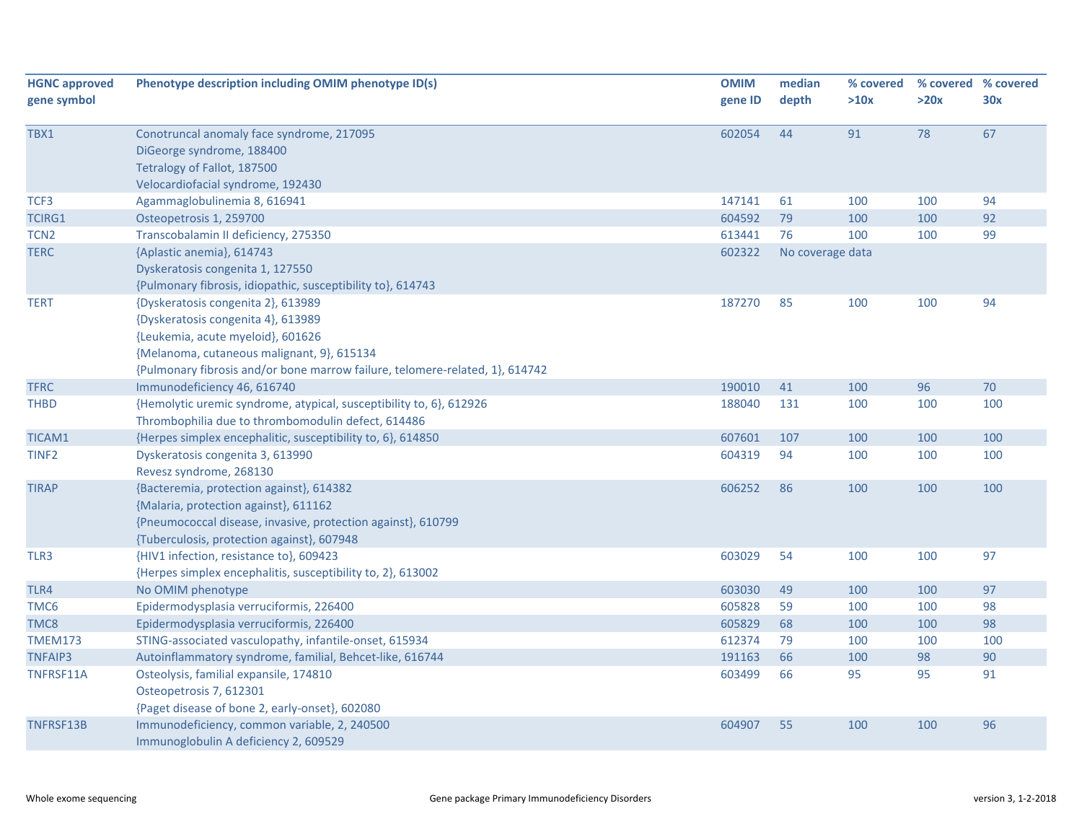| <b>HGNC approved</b> | Phenotype description including OMIM phenotype ID(s)                         | <b>OMIM</b> | median           | % covered | % covered % covered |     |
|----------------------|------------------------------------------------------------------------------|-------------|------------------|-----------|---------------------|-----|
| gene symbol          |                                                                              | gene ID     | depth            | >10x      | >20x                | 30x |
|                      |                                                                              |             |                  |           |                     |     |
| TBX1                 | Conotruncal anomaly face syndrome, 217095                                    | 602054      | 44               | 91        | 78                  | 67  |
|                      | DiGeorge syndrome, 188400                                                    |             |                  |           |                     |     |
|                      | Tetralogy of Fallot, 187500                                                  |             |                  |           |                     |     |
|                      | Velocardiofacial syndrome, 192430                                            |             |                  |           |                     |     |
| TCF3                 | Agammaglobulinemia 8, 616941                                                 | 147141      | 61               | 100       | 100                 | 94  |
| <b>TCIRG1</b>        | Osteopetrosis 1, 259700                                                      | 604592      | 79               | 100       | 100                 | 92  |
| TCN <sub>2</sub>     | Transcobalamin II deficiency, 275350                                         | 613441      | 76               | 100       | 100                 | 99  |
| <b>TERC</b>          | {Aplastic anemia}, 614743                                                    | 602322      | No coverage data |           |                     |     |
|                      | Dyskeratosis congenita 1, 127550                                             |             |                  |           |                     |     |
|                      | {Pulmonary fibrosis, idiopathic, susceptibility to}, 614743                  |             |                  |           |                     |     |
| <b>TERT</b>          | {Dyskeratosis congenita 2}, 613989                                           | 187270      | 85               | 100       | 100                 | 94  |
|                      | {Dyskeratosis congenita 4}, 613989                                           |             |                  |           |                     |     |
|                      | {Leukemia, acute myeloid}, 601626                                            |             |                  |           |                     |     |
|                      | {Melanoma, cutaneous malignant, 9}, 615134                                   |             |                  |           |                     |     |
|                      | {Pulmonary fibrosis and/or bone marrow failure, telomere-related, 1}, 614742 |             |                  |           |                     |     |
| <b>TFRC</b>          | Immunodeficiency 46, 616740                                                  | 190010      | 41               | 100       | 96                  | 70  |
| <b>THBD</b>          | {Hemolytic uremic syndrome, atypical, susceptibility to, 6}, 612926          | 188040      | 131              | 100       | 100                 | 100 |
|                      | Thrombophilia due to thrombomodulin defect, 614486                           |             |                  |           |                     |     |
| TICAM1               | {Herpes simplex encephalitic, susceptibility to, 6}, 614850                  | 607601      | 107              | 100       | 100                 | 100 |
| TINF <sub>2</sub>    | Dyskeratosis congenita 3, 613990                                             | 604319      | 94               | 100       | 100                 | 100 |
|                      | Revesz syndrome, 268130                                                      |             |                  |           |                     |     |
| <b>TIRAP</b>         | {Bacteremia, protection against}, 614382                                     | 606252      | 86               | 100       | 100                 | 100 |
|                      | {Malaria, protection against}, 611162                                        |             |                  |           |                     |     |
|                      | {Pneumococcal disease, invasive, protection against}, 610799                 |             |                  |           |                     |     |
|                      | {Tuberculosis, protection against}, 607948                                   |             |                  |           |                     |     |
| TLR3                 | {HIV1 infection, resistance to}, 609423                                      | 603029      | 54               | 100       | 100                 | 97  |
|                      | {Herpes simplex encephalitis, susceptibility to, 2}, 613002                  |             |                  |           |                     |     |
| TLR4                 | No OMIM phenotype                                                            | 603030      | 49               | 100       | 100                 | 97  |
| TMC <sub>6</sub>     | Epidermodysplasia verruciformis, 226400                                      | 605828      | 59               | 100       | 100                 | 98  |
| TMC8                 | Epidermodysplasia verruciformis, 226400                                      | 605829      | 68               | 100       | 100                 | 98  |
| <b>TMEM173</b>       | STING-associated vasculopathy, infantile-onset, 615934                       | 612374      | 79               | 100       | 100                 | 100 |
| <b>TNFAIP3</b>       | Autoinflammatory syndrome, familial, Behcet-like, 616744                     | 191163      | 66               | 100       | 98                  | 90  |
| TNFRSF11A            | Osteolysis, familial expansile, 174810                                       | 603499      | 66               | 95        | 95                  | 91  |
|                      | Osteopetrosis 7, 612301                                                      |             |                  |           |                     |     |
|                      | {Paget disease of bone 2, early-onset}, 602080                               |             |                  |           |                     |     |
| TNFRSF13B            | Immunodeficiency, common variable, 2, 240500                                 | 604907      | 55               | 100       | 100                 | 96  |
|                      | Immunoglobulin A deficiency 2, 609529                                        |             |                  |           |                     |     |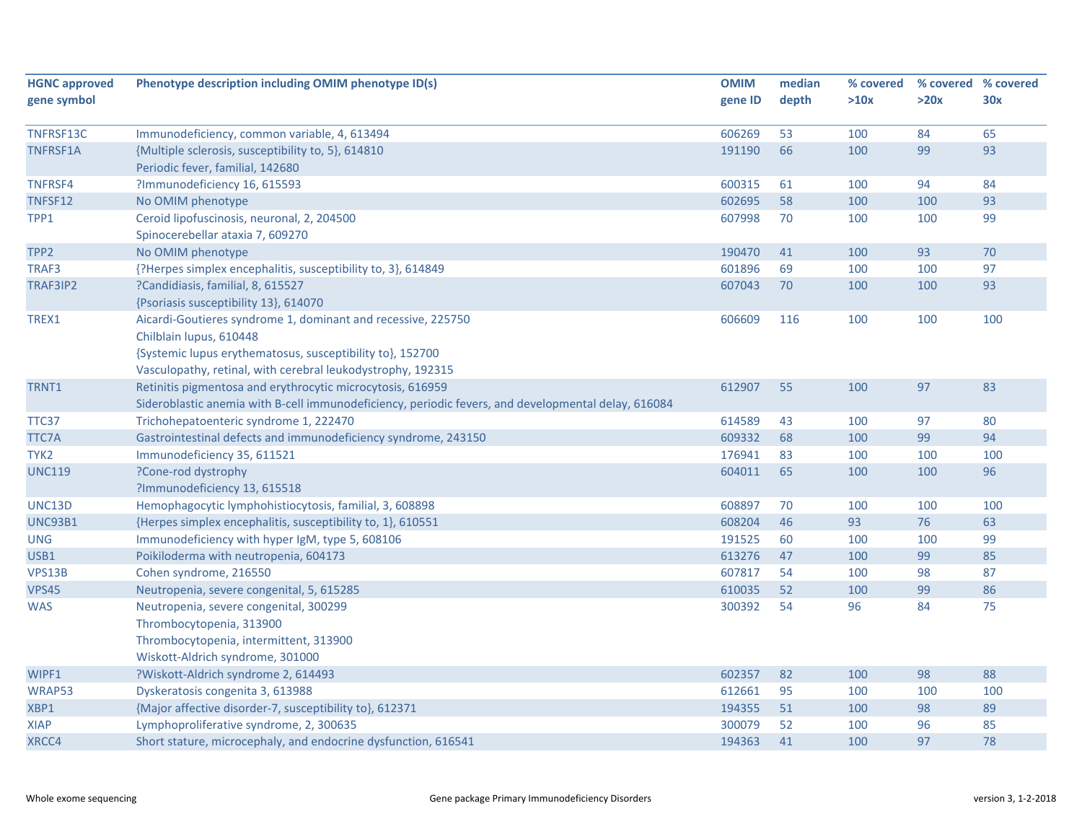| <b>HGNC approved</b> | Phenotype description including OMIM phenotype ID(s)                                                | <b>OMIM</b> | median | % covered | % covered % covered |     |
|----------------------|-----------------------------------------------------------------------------------------------------|-------------|--------|-----------|---------------------|-----|
| gene symbol          |                                                                                                     | gene ID     | depth  | >10x      | >20x                | 30x |
|                      |                                                                                                     |             |        |           |                     |     |
| TNFRSF13C            | Immunodeficiency, common variable, 4, 613494                                                        | 606269      | 53     | 100       | 84                  | 65  |
| TNFRSF1A             | {Multiple sclerosis, susceptibility to, 5}, 614810                                                  | 191190      | 66     | 100       | 99                  | 93  |
|                      | Periodic fever, familial, 142680                                                                    |             |        |           |                     |     |
| TNFRSF4              | ?Immunodeficiency 16, 615593                                                                        | 600315      | 61     | 100       | 94                  | 84  |
| TNFSF12              | No OMIM phenotype                                                                                   | 602695      | 58     | 100       | 100                 | 93  |
| TPP1                 | Ceroid lipofuscinosis, neuronal, 2, 204500                                                          | 607998      | 70     | 100       | 100                 | 99  |
|                      | Spinocerebellar ataxia 7, 609270                                                                    |             |        |           |                     |     |
| TPP <sub>2</sub>     | No OMIM phenotype                                                                                   | 190470      | 41     | 100       | 93                  | 70  |
| TRAF3                | {?Herpes simplex encephalitis, susceptibility to, 3}, 614849                                        | 601896      | 69     | 100       | 100                 | 97  |
| TRAF3IP2             | ?Candidiasis, familial, 8, 615527                                                                   | 607043      | 70     | 100       | 100                 | 93  |
|                      | {Psoriasis susceptibility 13}, 614070                                                               |             |        |           |                     |     |
| TREX1                | Aicardi-Goutieres syndrome 1, dominant and recessive, 225750                                        | 606609      | 116    | 100       | 100                 | 100 |
|                      | Chilblain lupus, 610448                                                                             |             |        |           |                     |     |
|                      | {Systemic lupus erythematosus, susceptibility to}, 152700                                           |             |        |           |                     |     |
|                      | Vasculopathy, retinal, with cerebral leukodystrophy, 192315                                         |             |        |           |                     |     |
| TRNT1                | Retinitis pigmentosa and erythrocytic microcytosis, 616959                                          | 612907      | 55     | 100       | 97                  | 83  |
|                      | Sideroblastic anemia with B-cell immunodeficiency, periodic fevers, and developmental delay, 616084 |             |        |           |                     |     |
| TTC37                | Trichohepatoenteric syndrome 1, 222470                                                              | 614589      | 43     | 100       | 97                  | 80  |
| <b>TTC7A</b>         | Gastrointestinal defects and immunodeficiency syndrome, 243150                                      | 609332      | 68     | 100       | 99                  | 94  |
| TYK2                 | Immunodeficiency 35, 611521                                                                         | 176941      | 83     | 100       | 100                 | 100 |
| <b>UNC119</b>        | ?Cone-rod dystrophy                                                                                 | 604011      | 65     | 100       | 100                 | 96  |
|                      | ?Immunodeficiency 13, 615518                                                                        |             |        |           |                     |     |
| UNC13D               | Hemophagocytic lymphohistiocytosis, familial, 3, 608898                                             | 608897      | 70     | 100       | 100                 | 100 |
| <b>UNC93B1</b>       | {Herpes simplex encephalitis, susceptibility to, 1}, 610551                                         | 608204      | 46     | 93        | 76                  | 63  |
| <b>UNG</b>           | Immunodeficiency with hyper IgM, type 5, 608106                                                     | 191525      | 60     | 100       | 100                 | 99  |
| USB1                 | Poikiloderma with neutropenia, 604173                                                               | 613276      | 47     | 100       | 99                  | 85  |
| VPS13B               | Cohen syndrome, 216550                                                                              | 607817      | 54     | 100       | 98                  | 87  |
| <b>VPS45</b>         | Neutropenia, severe congenital, 5, 615285                                                           | 610035      | 52     | 100       | 99                  | 86  |
| <b>WAS</b>           | Neutropenia, severe congenital, 300299                                                              | 300392      | 54     | 96        | 84                  | 75  |
|                      | Thrombocytopenia, 313900                                                                            |             |        |           |                     |     |
|                      | Thrombocytopenia, intermittent, 313900                                                              |             |        |           |                     |     |
|                      | Wiskott-Aldrich syndrome, 301000                                                                    |             |        |           |                     |     |
| WIPF1                | ?Wiskott-Aldrich syndrome 2, 614493                                                                 | 602357      | 82     | 100       | 98                  | 88  |
| WRAP53               | Dyskeratosis congenita 3, 613988                                                                    | 612661      | 95     | 100       | 100                 | 100 |
| XBP1                 | {Major affective disorder-7, susceptibility to}, 612371                                             | 194355      | 51     | 100       | 98                  | 89  |
| <b>XIAP</b>          | Lymphoproliferative syndrome, 2, 300635                                                             | 300079      | 52     | 100       | 96                  | 85  |
| XRCC4                | Short stature, microcephaly, and endocrine dysfunction, 616541                                      | 194363      | 41     | 100       | 97                  | 78  |